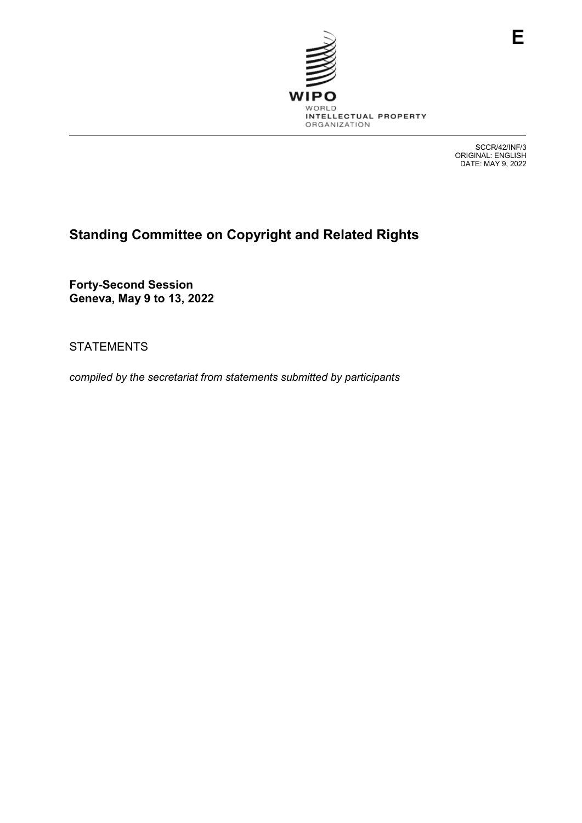

SCCR/42/INF/3 ORIGINAL: ENGLISH DATE: MAY 9, 2022

# **Standing Committee on Copyright and Related Rights**

**Forty-Second Session Geneva, May 9 to 13, 2022**

STATEMENTS

*compiled by the secretariat from statements submitted by participants*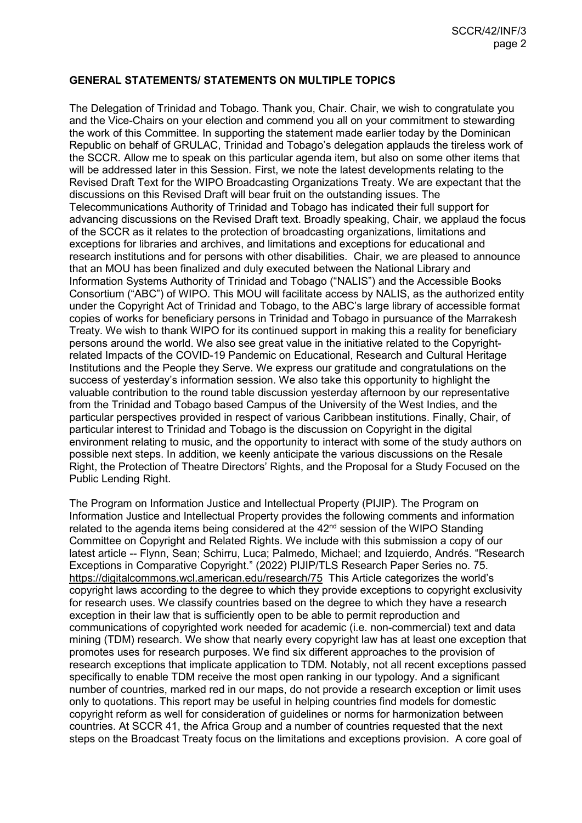# **GENERAL STATEMENTS/ STATEMENTS ON MULTIPLE TOPICS**

The Delegation of Trinidad and Tobago. Thank you, Chair. Chair, we wish to congratulate you and the Vice-Chairs on your election and commend you all on your commitment to stewarding the work of this Committee. In supporting the statement made earlier today by the Dominican Republic on behalf of GRULAC, Trinidad and Tobago's delegation applauds the tireless work of the SCCR. Allow me to speak on this particular agenda item, but also on some other items that will be addressed later in this Session. First, we note the latest developments relating to the Revised Draft Text for the WIPO Broadcasting Organizations Treaty. We are expectant that the discussions on this Revised Draft will bear fruit on the outstanding issues. The Telecommunications Authority of Trinidad and Tobago has indicated their full support for advancing discussions on the Revised Draft text. Broadly speaking, Chair, we applaud the focus of the SCCR as it relates to the protection of broadcasting organizations, limitations and exceptions for libraries and archives, and limitations and exceptions for educational and research institutions and for persons with other disabilities. Chair, we are pleased to announce that an MOU has been finalized and duly executed between the National Library and Information Systems Authority of Trinidad and Tobago ("NALIS") and the Accessible Books Consortium ("ABC") of WIPO. This MOU will facilitate access by NALIS, as the authorized entity under the Copyright Act of Trinidad and Tobago, to the ABC's large library of accessible format copies of works for beneficiary persons in Trinidad and Tobago in pursuance of the Marrakesh Treaty. We wish to thank WIPO for its continued support in making this a reality for beneficiary persons around the world. We also see great value in the initiative related to the Copyrightrelated Impacts of the COVID-19 Pandemic on Educational, Research and Cultural Heritage Institutions and the People they Serve. We express our gratitude and congratulations on the success of yesterday's information session. We also take this opportunity to highlight the valuable contribution to the round table discussion yesterday afternoon by our representative from the Trinidad and Tobago based Campus of the University of the West Indies, and the particular perspectives provided in respect of various Caribbean institutions. Finally, Chair, of particular interest to Trinidad and Tobago is the discussion on Copyright in the digital environment relating to music, and the opportunity to interact with some of the study authors on possible next steps. In addition, we keenly anticipate the various discussions on the Resale Right, the Protection of Theatre Directors' Rights, and the Proposal for a Study Focused on the Public Lending Right.

The Program on Information Justice and Intellectual Property (PIJIP). The Program on Information Justice and Intellectual Property provides the following comments and information related to the agenda items being considered at the  $42<sup>nd</sup>$  session of the WIPO Standing Committee on Copyright and Related Rights. We include with this submission a copy of our latest article -- Flynn, Sean; Schirru, Luca; Palmedo, Michael; and Izquierdo, Andrés. "Research Exceptions in Comparative Copyright." (2022) PIJIP/TLS Research Paper Series no. 75. <https://digitalcommons.wcl.american.edu/research/75>This Article categorizes the world's copyright laws according to the degree to which they provide exceptions to copyright exclusivity for research uses. We classify countries based on the degree to which they have a research exception in their law that is sufficiently open to be able to permit reproduction and communications of copyrighted work needed for academic (i.e. non-commercial) text and data mining (TDM) research. We show that nearly every copyright law has at least one exception that promotes uses for research purposes. We find six different approaches to the provision of research exceptions that implicate application to TDM. Notably, not all recent exceptions passed specifically to enable TDM receive the most open ranking in our typology. And a significant number of countries, marked red in our maps, do not provide a research exception or limit uses only to quotations. This report may be useful in helping countries find models for domestic copyright reform as well for consideration of guidelines or norms for harmonization between countries. At SCCR 41, the Africa Group and a number of countries requested that the next steps on the Broadcast Treaty focus on the limitations and exceptions provision. A core goal of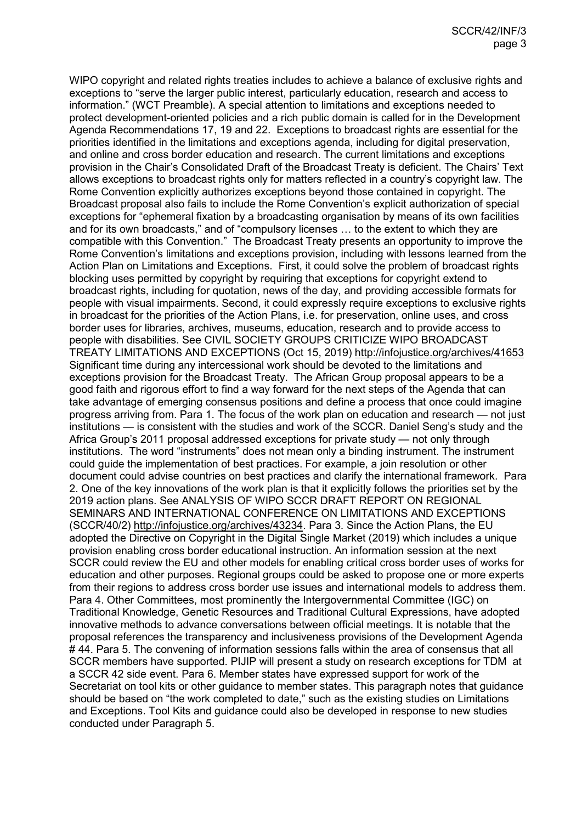WIPO copyright and related rights treaties includes to achieve a balance of exclusive rights and exceptions to "serve the larger public interest, particularly education, research and access to information." (WCT Preamble). A special attention to limitations and exceptions needed to protect development-oriented policies and a rich public domain is called for in the Development Agenda Recommendations 17, 19 and 22. Exceptions to broadcast rights are essential for the priorities identified in the limitations and exceptions agenda, including for digital preservation, and online and cross border education and research. The current limitations and exceptions provision in the Chair's Consolidated Draft of the Broadcast Treaty is deficient. The Chairs' Text allows exceptions to broadcast rights only for matters reflected in a country's copyright law. The Rome Convention explicitly authorizes exceptions beyond those contained in copyright. The Broadcast proposal also fails to include the Rome Convention's explicit authorization of special exceptions for "ephemeral fixation by a broadcasting organisation by means of its own facilities and for its own broadcasts," and of "compulsory licenses … to the extent to which they are compatible with this Convention." The Broadcast Treaty presents an opportunity to improve the Rome Convention's limitations and exceptions provision, including with lessons learned from the Action Plan on Limitations and Exceptions. First, it could solve the problem of broadcast rights blocking uses permitted by copyright by requiring that exceptions for copyright extend to broadcast rights, including for quotation, news of the day, and providing accessible formats for people with visual impairments. Second, it could expressly require exceptions to exclusive rights in broadcast for the priorities of the Action Plans, i.e. for preservation, online uses, and cross border uses for libraries, archives, museums, education, research and to provide access to people with disabilities. See CIVIL SOCIETY GROUPS CRITICIZE WIPO BROADCAST TREATY LIMITATIONS AND EXCEPTIONS (Oct 15, 2019)<http://infojustice.org/archives/41653> Significant time during any intercessional work should be devoted to the limitations and exceptions provision for the Broadcast Treaty. The African Group proposal appears to be a good faith and rigorous effort to find a way forward for the next steps of the Agenda that can take advantage of emerging consensus positions and define a process that once could imagine progress arriving from. Para 1. The focus of the work plan on education and research — not just institutions — is consistent with the studies and work of the SCCR. Daniel Seng's study and the Africa Group's 2011 proposal addressed exceptions for private study — not only through institutions. The word "instruments" does not mean only a binding instrument. The instrument could guide the implementation of best practices. For example, a join resolution or other document could advise countries on best practices and clarify the international framework. Para 2. One of the key innovations of the work plan is that it explicitly follows the priorities set by the 2019 action plans. See ANALYSIS OF WIPO SCCR DRAFT REPORT ON REGIONAL SEMINARS AND INTERNATIONAL CONFERENCE ON LIMITATIONS AND EXCEPTIONS (SCCR/40/2) [http://infojustice.org/archives/43234.](http://infojustice.org/archives/43234) Para 3. Since the Action Plans, the EU adopted the Directive on Copyright in the Digital Single Market (2019) which includes a unique provision enabling cross border educational instruction. An information session at the next SCCR could review the EU and other models for enabling critical cross border uses of works for education and other purposes. Regional groups could be asked to propose one or more experts from their regions to address cross border use issues and international models to address them. Para 4. Other Committees, most prominently the Intergovernmental Committee (IGC) on Traditional Knowledge, Genetic Resources and Traditional Cultural Expressions, have adopted innovative methods to advance conversations between official meetings. It is notable that the proposal references the transparency and inclusiveness provisions of the Development Agenda #44. Para 5. The convening of information sessions falls within the area of consensus that all SCCR members have supported. PIJIP will present a study on research exceptions for TDM at a SCCR 42 side event. Para 6. Member states have expressed support for work of the Secretariat on tool kits or other guidance to member states. This paragraph notes that guidance should be based on "the work completed to date," such as the existing studies on Limitations and Exceptions. Tool Kits and guidance could also be developed in response to new studies conducted under Paragraph 5.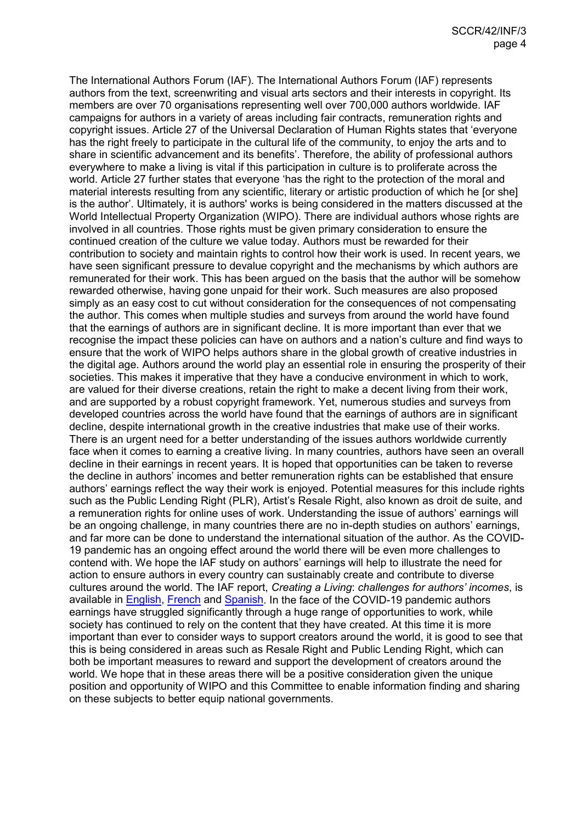The International Authors Forum (IAF). The International Authors Forum (IAF) represents authors from the text, screenwriting and visual arts sectors and their interests in copyright. Its members are over 70 organisations representing well over 700,000 authors worldwide. IAF campaigns for authors in a variety of areas including fair contracts, remuneration rights and copyright issues. Article 27 of the Universal Declaration of Human Rights states that 'everyone has the right freely to participate in the cultural life of the community, to enjoy the arts and to share in scientific advancement and its benefits'. Therefore, the ability of professional authors everywhere to make a living is vital if this participation in culture is to proliferate across the world. Article 27 further states that everyone 'has the right to the protection of the moral and material interests resulting from any scientific, literary or artistic production of which he [or she] is the author'. Ultimately, it is authors' works is being considered in the matters discussed at the World Intellectual Property Organization (WIPO). There are individual authors whose rights are involved in all countries. Those rights must be given primary consideration to ensure the continued creation of the culture we value today. Authors must be rewarded for their contribution to society and maintain rights to control how their work is used. In recent years, we have seen significant pressure to devalue copyright and the mechanisms by which authors are remunerated for their work. This has been argued on the basis that the author will be somehow rewarded otherwise, having gone unpaid for their work. Such measures are also proposed simply as an easy cost to cut without consideration for the consequences of not compensating the author. This comes when multiple studies and surveys from around the world have found that the earnings of authors are in significant decline. It is more important than ever that we recognise the impact these policies can have on authors and a nation's culture and find ways to ensure that the work of WIPO helps authors share in the global growth of creative industries in the digital age. Authors around the world play an essential role in ensuring the prosperity of their societies. This makes it imperative that they have a conducive environment in which to work, are valued for their diverse creations, retain the right to make a decent living from their work, and are supported by a robust copyright framework. Yet, numerous studies and surveys from developed countries across the world have found that the earnings of authors are in significant decline, despite international growth in the creative industries that make use of their works. There is an urgent need for a better understanding of the issues authors worldwide currently face when it comes to earning a creative living. In many countries, authors have seen an overall decline in their earnings in recent years. It is hoped that opportunities can be taken to reverse the decline in authors' incomes and better remuneration rights can be established that ensure authors' earnings reflect the way their work is enjoyed. Potential measures for this include rights such as the Public Lending Right (PLR), Artist's Resale Right, also known as droit de suite, and a remuneration rights for online uses of work. Understanding the issue of authors' earnings will be an ongoing challenge, in many countries there are no in-depth studies on authors' earnings, and far more can be done to understand the international situation of the author. As the COVID-19 pandemic has an ongoing effect around the world there will be even more challenges to contend with. We hope the IAF study on authors' earnings will help to illustrate the need for action to ensure authors in every country can sustainably create and contribute to diverse cultures around the world. The IAF report, *Creating a Living*: *challenges for authors' incomes*, is available in [English,](https://www.internationalauthors.org/wp-content/uploads/2020/11/Creating-a-Living.pdf) [French](https://www.internationalauthors.org/wp-content/uploads/2020/11/Vivre-de-la-Cr%C3%A9ation.pdf) and [Spanish.](https://www.internationalauthors.org/wp-content/uploads/2020/11/La-Creatividad-Como-Medio-de-Vida.pdf) In the face of the COVID-19 pandemic authors earnings have struggled significantly through a huge range of opportunities to work, while society has continued to rely on the content that they have created. At this time it is more important than ever to consider ways to support creators around the world, it is good to see that this is being considered in areas such as Resale Right and Public Lending Right, which can both be important measures to reward and support the development of creators around the world. We hope that in these areas there will be a positive consideration given the unique position and opportunity of WIPO and this Committee to enable information finding and sharing on these subjects to better equip national governments.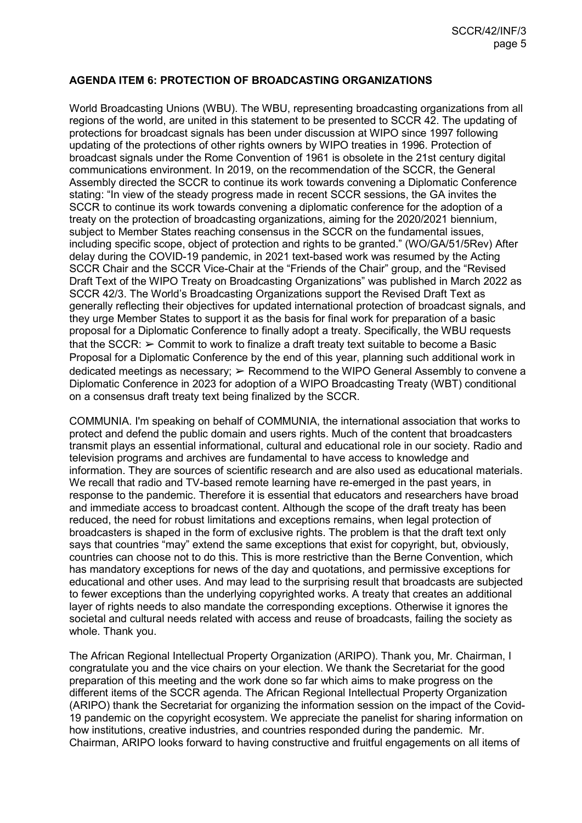# **AGENDA ITEM 6: PROTECTION OF BROADCASTING ORGANIZATIONS**

World Broadcasting Unions (WBU). The WBU, representing broadcasting organizations from all regions of the world, are united in this statement to be presented to SCCR 42. The updating of protections for broadcast signals has been under discussion at WIPO since 1997 following updating of the protections of other rights owners by WIPO treaties in 1996. Protection of broadcast signals under the Rome Convention of 1961 is obsolete in the 21st century digital communications environment. In 2019, on the recommendation of the SCCR, the General Assembly directed the SCCR to continue its work towards convening a Diplomatic Conference stating: "In view of the steady progress made in recent SCCR sessions, the GA invites the SCCR to continue its work towards convening a diplomatic conference for the adoption of a treaty on the protection of broadcasting organizations, aiming for the 2020/2021 biennium, subject to Member States reaching consensus in the SCCR on the fundamental issues, including specific scope, object of protection and rights to be granted." (WO/GA/51/5Rev) After delay during the COVID-19 pandemic, in 2021 text-based work was resumed by the Acting SCCR Chair and the SCCR Vice-Chair at the "Friends of the Chair" group, and the "Revised Draft Text of the WIPO Treaty on Broadcasting Organizations" was published in March 2022 as SCCR 42/3. The World's Broadcasting Organizations support the Revised Draft Text as generally reflecting their objectives for updated international protection of broadcast signals, and they urge Member States to support it as the basis for final work for preparation of a basic proposal for a Diplomatic Conference to finally adopt a treaty. Specifically, the WBU requests that the SCCR:  $\geq$  Commit to work to finalize a draft treaty text suitable to become a Basic Proposal for a Diplomatic Conference by the end of this year, planning such additional work in dedicated meetings as necessary; ➢ Recommend to the WIPO General Assembly to convene a Diplomatic Conference in 2023 for adoption of a WIPO Broadcasting Treaty (WBT) conditional on a consensus draft treaty text being finalized by the SCCR.

COMMUNIA. I'm speaking on behalf of COMMUNIA, the international association that works to protect and defend the public domain and users rights. Much of the content that broadcasters transmit plays an essential informational, cultural and educational role in our society. Radio and television programs and archives are fundamental to have access to knowledge and information. They are sources of scientific research and are also used as educational materials. We recall that radio and TV-based remote learning have re-emerged in the past years, in response to the pandemic. Therefore it is essential that educators and researchers have broad and immediate access to broadcast content. Although the scope of the draft treaty has been reduced, the need for robust limitations and exceptions remains, when legal protection of broadcasters is shaped in the form of exclusive rights. The problem is that the draft text only says that countries "may" extend the same exceptions that exist for copyright, but, obviously, countries can choose not to do this. This is more restrictive than the Berne Convention, which has mandatory exceptions for news of the day and quotations, and permissive exceptions for educational and other uses. And may lead to the surprising result that broadcasts are subjected to fewer exceptions than the underlying copyrighted works. A treaty that creates an additional layer of rights needs to also mandate the corresponding exceptions. Otherwise it ignores the societal and cultural needs related with access and reuse of broadcasts, failing the society as whole. Thank you.

The African Regional Intellectual Property Organization (ARIPO). Thank you, Mr. Chairman, I congratulate you and the vice chairs on your election. We thank the Secretariat for the good preparation of this meeting and the work done so far which aims to make progress on the different items of the SCCR agenda. The African Regional Intellectual Property Organization (ARIPO) thank the Secretariat for organizing the information session on the impact of the Covid-19 pandemic on the copyright ecosystem. We appreciate the panelist for sharing information on how institutions, creative industries, and countries responded during the pandemic. Mr. Chairman, ARIPO looks forward to having constructive and fruitful engagements on all items of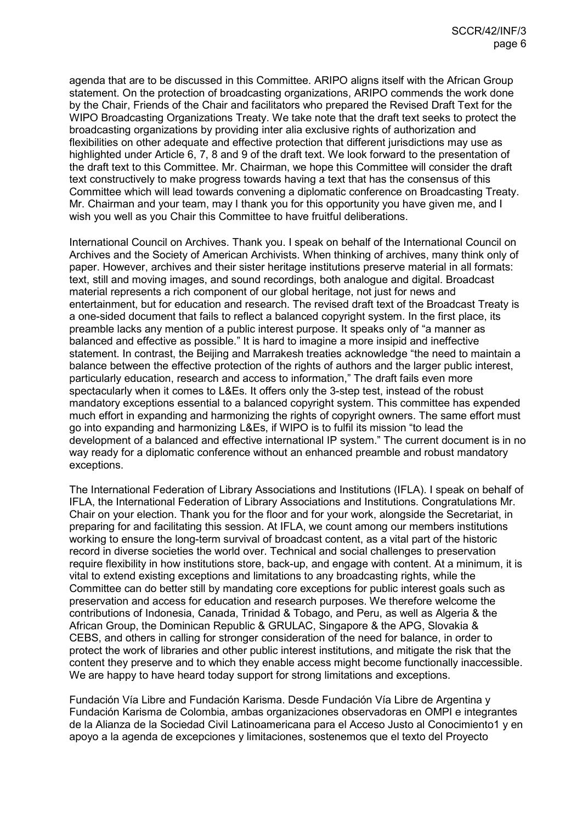agenda that are to be discussed in this Committee. ARIPO aligns itself with the African Group statement. On the protection of broadcasting organizations, ARIPO commends the work done by the Chair, Friends of the Chair and facilitators who prepared the Revised Draft Text for the WIPO Broadcasting Organizations Treaty. We take note that the draft text seeks to protect the broadcasting organizations by providing inter alia exclusive rights of authorization and flexibilities on other adequate and effective protection that different jurisdictions may use as highlighted under Article 6, 7, 8 and 9 of the draft text. We look forward to the presentation of the draft text to this Committee. Mr. Chairman, we hope this Committee will consider the draft text constructively to make progress towards having a text that has the consensus of this Committee which will lead towards convening a diplomatic conference on Broadcasting Treaty. Mr. Chairman and your team, may I thank you for this opportunity you have given me, and I wish you well as you Chair this Committee to have fruitful deliberations.

International Council on Archives. Thank you. I speak on behalf of the International Council on Archives and the Society of American Archivists. When thinking of archives, many think only of paper. However, archives and their sister heritage institutions preserve material in all formats: text, still and moving images, and sound recordings, both analogue and digital. Broadcast material represents a rich component of our global heritage, not just for news and entertainment, but for education and research. The revised draft text of the Broadcast Treaty is a one-sided document that fails to reflect a balanced copyright system. In the first place, its preamble lacks any mention of a public interest purpose. It speaks only of "a manner as balanced and effective as possible." It is hard to imagine a more insipid and ineffective statement. In contrast, the Beijing and Marrakesh treaties acknowledge "the need to maintain a balance between the effective protection of the rights of authors and the larger public interest, particularly education, research and access to information," The draft fails even more spectacularly when it comes to L&Es. It offers only the 3-step test, instead of the robust mandatory exceptions essential to a balanced copyright system. This committee has expended much effort in expanding and harmonizing the rights of copyright owners. The same effort must go into expanding and harmonizing L&Es, if WIPO is to fulfil its mission "to lead the development of a balanced and effective international IP system." The current document is in no way ready for a diplomatic conference without an enhanced preamble and robust mandatory exceptions.

The International Federation of Library Associations and Institutions (IFLA). I speak on behalf of IFLA, the International Federation of Library Associations and Institutions. Congratulations Mr. Chair on your election. Thank you for the floor and for your work, alongside the Secretariat, in preparing for and facilitating this session. At IFLA, we count among our members institutions working to ensure the long-term survival of broadcast content, as a vital part of the historic record in diverse societies the world over. Technical and social challenges to preservation require flexibility in how institutions store, back-up, and engage with content. At a minimum, it is vital to extend existing exceptions and limitations to any broadcasting rights, while the Committee can do better still by mandating core exceptions for public interest goals such as preservation and access for education and research purposes. We therefore welcome the contributions of Indonesia, Canada, Trinidad & Tobago, and Peru, as well as Algeria & the African Group, the Dominican Republic & GRULAC, Singapore & the APG, Slovakia & CEBS, and others in calling for stronger consideration of the need for balance, in order to protect the work of libraries and other public interest institutions, and mitigate the risk that the content they preserve and to which they enable access might become functionally inaccessible. We are happy to have heard today support for strong limitations and exceptions.

Fundación Vía Libre and Fundación Karisma. Desde Fundación Vía Libre de Argentina y Fundación Karisma de Colombia, ambas organizaciones observadoras en OMPI e integrantes de la Alianza de la Sociedad Civil Latinoamericana para el Acceso Justo al Conocimiento1 y en apoyo a la agenda de excepciones y limitaciones, sostenemos que el texto del Proyecto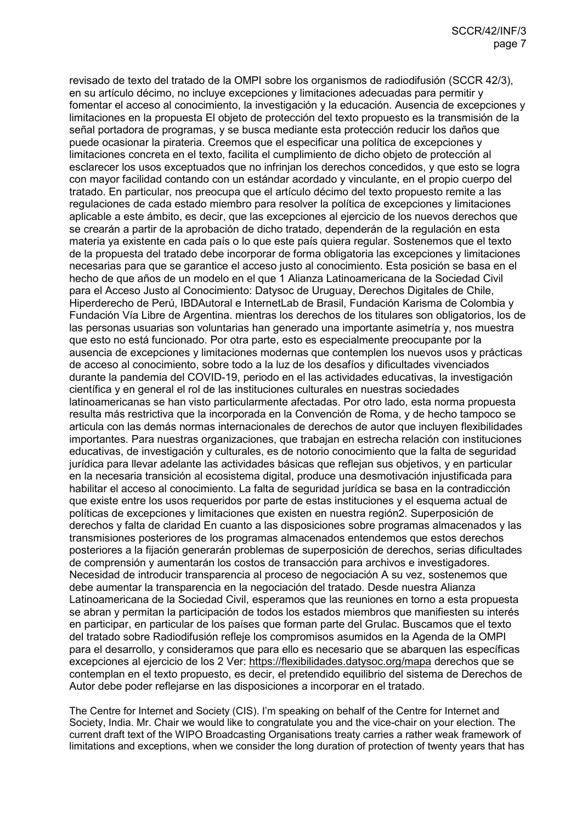revisado de texto del tratado de la OMPI sobre los organismos de radiodifusión (SCCR 42/3), en su artículo décimo, no incluye excepciones y limitaciones adecuadas para permitir y fomentar el acceso al conocimiento, la investigación y la educación. Ausencia de excepciones y limitaciones en la propuesta El objeto de protección del texto propuesto es la transmisión de la señal portadora de programas, y se busca mediante esta protección reducir los daños que puede ocasionar la pirateria. Creemos que el especificar una política de excepciones y limitaciones concreta en el texto, facilita el cumplimiento de dicho objeto de protección al esclarecer los usos exceptuados que no infrinjan los derechos concedidos, y que esto se logra con mayor facilidad contando con un estándar acordado y vinculante, en el propio cuerpo del tratado. En particular, nos preocupa que el artículo décimo del texto propuesto remite a las regulaciones de cada estado miembro para resolver la política de excepciones y limitaciones aplicable a este ámbito, es decir, que las excepciones al ejercicio de los nuevos derechos que se crearán a partir de la aprobación de dicho tratado, dependerán de la regulación en esta materia ya existente en cada país o lo que este país quiera regular. Sostenemos que el texto de la propuesta del tratado debe incorporar de forma obligatoria las excepciones y limitaciones necesarias para que se garantice el acceso justo al conocimiento. Esta posición se basa en el hecho de que años de un modelo en el que 1 Alianza Latinoamericana de la Sociedad Civil para el Acceso Justo al Conocimiento: Datysoc de Uruguay, Derechos Digitales de Chile, Hiperderecho de Perú, IBDAutoral e InternetLab de Brasil, Fundación Karisma de Colombia y Fundación Vía Libre de Argentina. mientras los derechos de los titulares son obligatorios, los de las personas usuarias son voluntarias han generado una importante asimetría y, nos muestra que esto no está funcionado. Por otra parte, esto es especialmente preocupante por la ausencia de excepciones y limitaciones modernas que contemplen los nuevos usos y prácticas de acceso al conocimiento, sobre todo a la luz de los desafíos y dificultades vivenciados durante la pandemia del COVID-19, periodo en el las actividades educativas, la investigación científica y en general el rol de las instituciones culturales en nuestras sociedades latinoamericanas se han visto particularmente afectadas. Por otro lado, esta norma propuesta resulta más restrictiva que la incorporada en la Convención de Roma, y de hecho tampoco se articula con las demás normas internacionales de derechos de autor que incluyen flexibilidades importantes. Para nuestras organizaciones, que trabajan en estrecha relación con instituciones educativas, de investigación y culturales, es de notorio conocimiento que la falta de seguridad jurídica para llevar adelante las actividades básicas que reflejan sus objetivos, y en particular en la necesaria transición al ecosistema digital, produce una desmotivación injustificada para habilitar el acceso al conocimiento. La falta de seguridad jurídica se basa en la contradicción que existe entre los usos requeridos por parte de estas instituciones y el esquema actual de políticas de excepciones y limitaciones que existen en nuestra región2. Superposición de derechos y falta de claridad En cuanto a las disposiciones sobre programas almacenados y las transmisiones posteriores de los programas almacenados entendemos que estos derechos posteriores a la fijación generarán problemas de superposición de derechos, serias dificultades de comprensión y aumentarán los costos de transacción para archivos e investigadores. Necesidad de introducir transparencia al proceso de negociación A su vez, sostenemos que debe aumentar la transparencia en la negociación del tratado. Desde nuestra Alianza Latinoamericana de la Sociedad Civil, esperamos que las reuniones en torno a esta propuesta se abran y permitan la participación de todos los estados miembros que manifiesten su interés en participar, en particular de los países que forman parte del Grulac. Buscamos que el texto del tratado sobre Radiodifusión refleje los compromisos asumidos en la Agenda de la OMPI para el desarrollo, y consideramos que para ello es necesario que se abarquen las específicas excepciones al ejercicio de los 2 Ver:<https://flexibilidades.datysoc.org/mapa> derechos que se contemplan en el texto propuesto, es decir, el pretendido equilibrio del sistema de Derechos de Autor debe poder reflejarse en las disposiciones a incorporar en el tratado.

The Centre for Internet and Society (CIS). I'm speaking on behalf of the Centre for Internet and Society, India. Mr. Chair we would like to congratulate you and the vice-chair on your election. The current draft text of the WIPO Broadcasting Organisations treaty carries a rather weak framework of limitations and exceptions, when we consider the long duration of protection of twenty years that has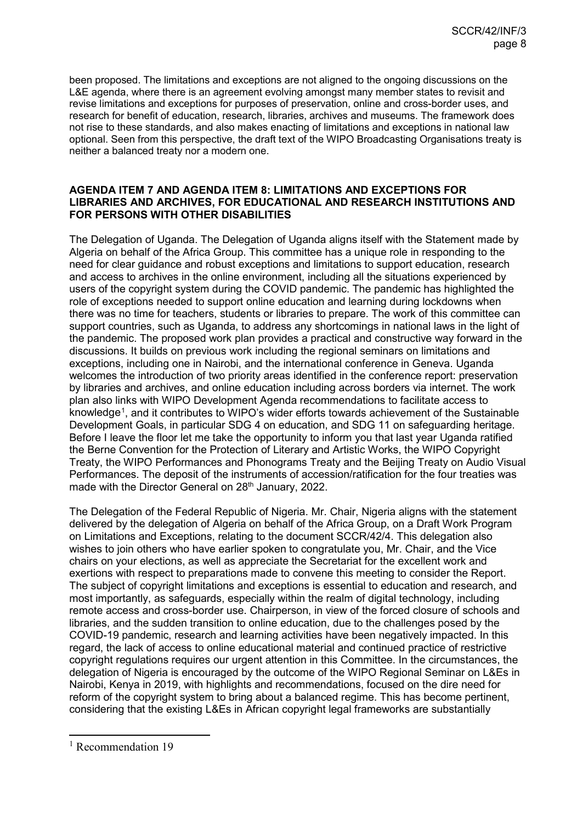been proposed. The limitations and exceptions are not aligned to the ongoing discussions on the L&E agenda, where there is an agreement evolving amongst many member states to revisit and revise limitations and exceptions for purposes of preservation, online and cross-border uses, and research for benefit of education, research, libraries, archives and museums. The framework does not rise to these standards, and also makes enacting of limitations and exceptions in national law optional. Seen from this perspective, the draft text of the WIPO Broadcasting Organisations treaty is neither a balanced treaty nor a modern one.

#### **AGENDA ITEM 7 AND AGENDA ITEM 8: LIMITATIONS AND EXCEPTIONS FOR LIBRARIES AND ARCHIVES, FOR EDUCATIONAL AND RESEARCH INSTITUTIONS AND FOR PERSONS WITH OTHER DISABILITIES**

The Delegation of Uganda. The Delegation of Uganda aligns itself with the Statement made by Algeria on behalf of the Africa Group. This committee has a unique role in responding to the need for clear guidance and robust exceptions and limitations to support education, research and access to archives in the online environment, including all the situations experienced by users of the copyright system during the COVID pandemic. The pandemic has highlighted the role of exceptions needed to support online education and learning during lockdowns when there was no time for teachers, students or libraries to prepare. The work of this committee can support countries, such as Uganda, to address any shortcomings in national laws in the light of the pandemic. The proposed work plan provides a practical and constructive way forward in the discussions. It builds on previous work including the regional seminars on limitations and exceptions, including one in Nairobi, and the international conference in Geneva. Uganda welcomes the introduction of two priority areas identified in the conference report: preservation by libraries and archives, and online education including across borders via internet. The work plan also links with WIPO Development Agenda recommendations to facilitate access to knowledge<sup>[1](#page-7-0)</sup>, and it contributes to WIPO's wider efforts towards achievement of the Sustainable Development Goals, in particular SDG 4 on education, and SDG 11 on safeguarding heritage. Before I leave the floor let me take the opportunity to inform you that last year Uganda ratified the Berne Convention for the Protection of Literary and Artistic Works, the WIPO Copyright Treaty, the WIPO Performances and Phonograms Treaty and the Beijing Treaty on Audio Visual Performances. The deposit of the instruments of accession/ratification for the four treaties was made with the Director General on 28<sup>th</sup> January, 2022.

The Delegation of the Federal Republic of Nigeria. Mr. Chair, Nigeria aligns with the statement delivered by the delegation of Algeria on behalf of the Africa Group, on a Draft Work Program on Limitations and Exceptions, relating to the document SCCR/42/4. This delegation also wishes to join others who have earlier spoken to congratulate you, Mr. Chair, and the Vice chairs on your elections, as well as appreciate the Secretariat for the excellent work and exertions with respect to preparations made to convene this meeting to consider the Report. The subject of copyright limitations and exceptions is essential to education and research, and most importantly, as safeguards, especially within the realm of digital technology, including remote access and cross-border use. Chairperson, in view of the forced closure of schools and libraries, and the sudden transition to online education, due to the challenges posed by the COVID-19 pandemic, research and learning activities have been negatively impacted. In this regard, the lack of access to online educational material and continued practice of restrictive copyright regulations requires our urgent attention in this Committee. In the circumstances, the delegation of Nigeria is encouraged by the outcome of the WIPO Regional Seminar on L&Es in Nairobi, Kenya in 2019, with highlights and recommendations, focused on the dire need for reform of the copyright system to bring about a balanced regime. This has become pertinent, considering that the existing L&Es in African copyright legal frameworks are substantially

-

<span id="page-7-0"></span><sup>&</sup>lt;sup>1</sup> Recommendation 19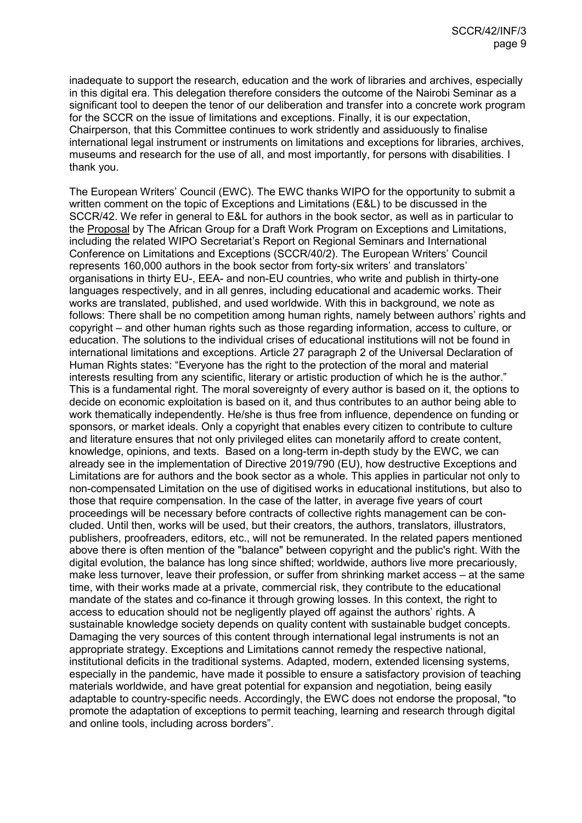inadequate to support the research, education and the work of libraries and archives, especially in this digital era. This delegation therefore considers the outcome of the Nairobi Seminar as a significant tool to deepen the tenor of our deliberation and transfer into a concrete work program for the SCCR on the issue of limitations and exceptions. Finally, it is our expectation, Chairperson, that this Committee continues to work stridently and assiduously to finalise international legal instrument or instruments on limitations and exceptions for libraries, archives, museums and research for the use of all, and most importantly, for persons with disabilities. I thank you.

The European Writers' Council (EWC). The EWC thanks WIPO for the opportunity to submit a written comment on the topic of Exceptions and Limitations (E&L) to be discussed in the SCCR/42. We refer in general to E&L for authors in the book sector, as well as in particular to the [Proposal](https://www.wipo.int/edocs/mdocs/copyright/en/sccr_42/sccr_42_4.pdf) by The African Group for a Draft Work Program on Exceptions and Limitations, including the related WIPO Secretariat's Report on Regional Seminars and International Conference on Limitations and Exceptions (SCCR/40/2). The European Writers' Council represents 160,000 authors in the book sector from forty-six writers' and translators' organisations in thirty EU-, EEA- and non-EU countries, who write and publish in thirty-one languages respectively, and in all genres, including educational and academic works. Their works are translated, published, and used worldwide. With this in background, we note as follows: There shall be no competition among human rights, namely between authors' rights and copyright – and other human rights such as those regarding information, access to culture, or education. The solutions to the individual crises of educational institutions will not be found in international limitations and exceptions. Article 27 paragraph 2 of the Universal Declaration of Human Rights states: "Everyone has the right to the protection of the moral and material interests resulting from any scientific, literary or artistic production of which he is the author." This is a fundamental right. The moral sovereignty of every author is based on it, the options to decide on economic exploitation is based on it, and thus contributes to an author being able to work thematically independently. He/she is thus free from influence, dependence on funding or sponsors, or market ideals. Only a copyright that enables every citizen to contribute to culture and literature ensures that not only privileged elites can monetarily afford to create content, knowledge, opinions, and texts. Based on a long-term in-depth study by the EWC, we can already see in the implementation of Directive 2019/790 (EU), how destructive Exceptions and Limitations are for authors and the book sector as a whole. This applies in particular not only to non-compensated Limitation on the use of digitised works in educational institutions, but also to those that require compensation. In the case of the latter, in average five years of court proceedings will be necessary before contracts of collective rights management can be concluded. Until then, works will be used, but their creators, the authors, translators, illustrators, publishers, proofreaders, editors, etc., will not be remunerated. In the related papers mentioned above there is often mention of the "balance" between copyright and the public's right. With the digital evolution, the balance has long since shifted; worldwide, authors live more precariously, make less turnover, leave their profession, or suffer from shrinking market access – at the same time, with their works made at a private, commercial risk, they contribute to the educational mandate of the states and co-finance it through growing losses. In this context, the right to access to education should not be negligently played off against the authors' rights. A sustainable knowledge society depends on quality content with sustainable budget concepts. Damaging the very sources of this content through international legal instruments is not an appropriate strategy. Exceptions and Limitations cannot remedy the respective national, institutional deficits in the traditional systems. Adapted, modern, extended licensing systems, especially in the pandemic, have made it possible to ensure a satisfactory provision of teaching materials worldwide, and have great potential for expansion and negotiation, being easily adaptable to country-specific needs. Accordingly, the EWC does not endorse the proposal, "to promote the adaptation of exceptions to permit teaching, learning and research through digital and online tools, including across borders".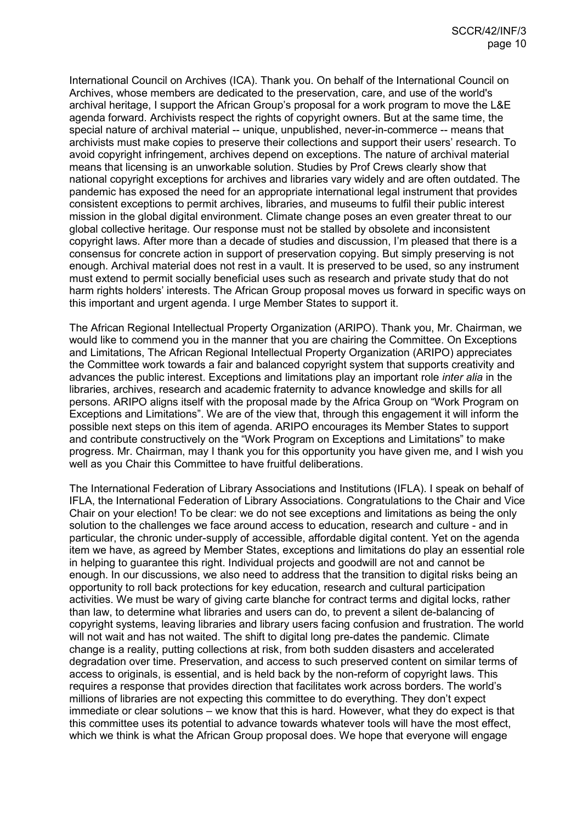International Council on Archives (ICA). Thank you. On behalf of the International Council on Archives, whose members are dedicated to the preservation, care, and use of the world's archival heritage, I support the African Group's proposal for a work program to move the L&E agenda forward. Archivists respect the rights of copyright owners. But at the same time, the special nature of archival material -- unique, unpublished, never-in-commerce -- means that archivists must make copies to preserve their collections and support their users' research. To avoid copyright infringement, archives depend on exceptions. The nature of archival material means that licensing is an unworkable solution. Studies by Prof Crews clearly show that national copyright exceptions for archives and libraries vary widely and are often outdated. The pandemic has exposed the need for an appropriate international legal instrument that provides consistent exceptions to permit archives, libraries, and museums to fulfil their public interest mission in the global digital environment. Climate change poses an even greater threat to our global collective heritage. Our response must not be stalled by obsolete and inconsistent copyright laws. After more than a decade of studies and discussion, I'm pleased that there is a consensus for concrete action in support of preservation copying. But simply preserving is not enough. Archival material does not rest in a vault. It is preserved to be used, so any instrument must extend to permit socially beneficial uses such as research and private study that do not harm rights holders' interests. The African Group proposal moves us forward in specific ways on this important and urgent agenda. I urge Member States to support it.

The African Regional Intellectual Property Organization (ARIPO). Thank you, Mr. Chairman, we would like to commend you in the manner that you are chairing the Committee. On Exceptions and Limitations, The African Regional Intellectual Property Organization (ARIPO) appreciates the Committee work towards a fair and balanced copyright system that supports creativity and advances the public interest. Exceptions and limitations play an important role *inter alia* in the libraries, archives, research and academic fraternity to advance knowledge and skills for all persons. ARIPO aligns itself with the proposal made by the Africa Group on "Work Program on Exceptions and Limitations". We are of the view that, through this engagement it will inform the possible next steps on this item of agenda. ARIPO encourages its Member States to support and contribute constructively on the "Work Program on Exceptions and Limitations" to make progress. Mr. Chairman, may I thank you for this opportunity you have given me, and I wish you well as you Chair this Committee to have fruitful deliberations.

The International Federation of Library Associations and Institutions (IFLA). I speak on behalf of IFLA, the International Federation of Library Associations. Congratulations to the Chair and Vice Chair on your election! To be clear: we do not see exceptions and limitations as being the only solution to the challenges we face around access to education, research and culture - and in particular, the chronic under-supply of accessible, affordable digital content. Yet on the agenda item we have, as agreed by Member States, exceptions and limitations do play an essential role in helping to guarantee this right. Individual projects and goodwill are not and cannot be enough. In our discussions, we also need to address that the transition to digital risks being an opportunity to roll back protections for key education, research and cultural participation activities. We must be wary of giving carte blanche for contract terms and digital locks, rather than law, to determine what libraries and users can do, to prevent a silent de-balancing of copyright systems, leaving libraries and library users facing confusion and frustration. The world will not wait and has not waited. The shift to digital long pre-dates the pandemic. Climate change is a reality, putting collections at risk, from both sudden disasters and accelerated degradation over time. Preservation, and access to such preserved content on similar terms of access to originals, is essential, and is held back by the non-reform of copyright laws. This requires a response that provides direction that facilitates work across borders. The world's millions of libraries are not expecting this committee to do everything. They don't expect immediate or clear solutions – we know that this is hard. However, what they do expect is that this committee uses its potential to advance towards whatever tools will have the most effect, which we think is what the African Group proposal does. We hope that everyone will engage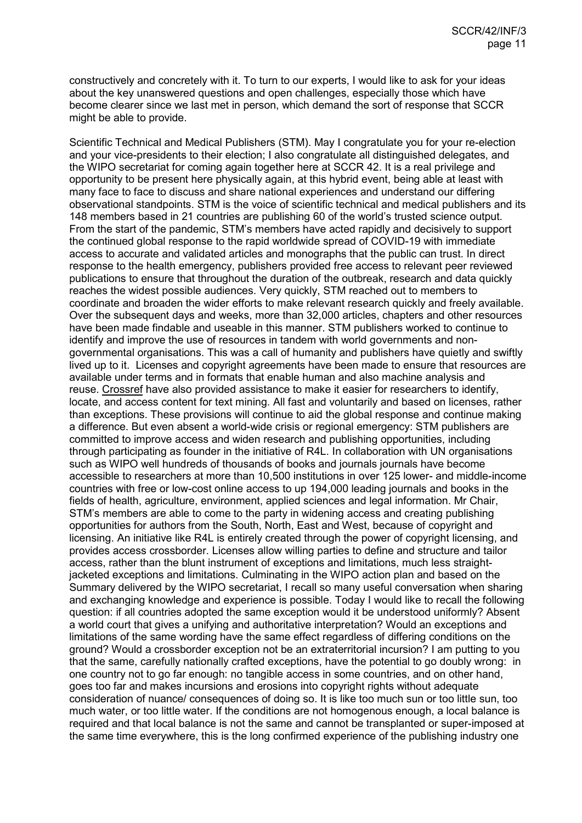constructively and concretely with it. To turn to our experts, I would like to ask for your ideas about the key unanswered questions and open challenges, especially those which have become clearer since we last met in person, which demand the sort of response that SCCR might be able to provide.

Scientific Technical and Medical Publishers (STM). May I congratulate you for your re-election and your vice-presidents to their election; I also congratulate all distinguished delegates, and the WIPO secretariat for coming again together here at SCCR 42. It is a real privilege and opportunity to be present here physically again, at this hybrid event, being able at least with many face to face to discuss and share national experiences and understand our differing observational standpoints. STM is the voice of scientific technical and medical publishers and its 148 members based in 21 countries are publishing 60 of the world's trusted science output. From the start of the pandemic, STM's members have acted rapidly and decisively to support the continued global response to the rapid worldwide spread of COVID-19 with immediate access to accurate and validated articles and monographs that the public can trust. In direct response to the health emergency, publishers provided free access to relevant peer reviewed publications to ensure that throughout the duration of the outbreak, research and data quickly reaches the widest possible audiences. Very quickly, STM reached out to members to coordinate and broaden the wider efforts to make relevant research quickly and freely available. Over the subsequent days and weeks, more than 32,000 articles, chapters and other resources have been made findable and useable in this manner. STM publishers worked to continue to identify and improve the use of resources in tandem with world governments and nongovernmental organisations. This was a call of humanity and publishers have quietly and swiftly lived up to it. Licenses and copyright agreements have been made to ensure that resources are available under terms and in formats that enable human and also machine analysis and reuse. [Crossref](https://www.crossref.org/blog/helping-researchers-identify-content-they-can-text-mine/) have also provided assistance to make it easier for researchers to identify, locate, and access content for text mining. All fast and voluntarily and based on licenses, rather than exceptions. These provisions will continue to aid the global response and continue making a difference. But even absent a world-wide crisis or regional emergency: STM publishers are committed to improve access and widen research and publishing opportunities, including through participating as founder in the initiative of R4L. In collaboration with UN organisations such as WIPO well hundreds of thousands of books and journals journals have become accessible to researchers at more than 10,500 institutions in over 125 lower- and middle-income countries with free or low-cost online access to up 194,000 leading journals and books in the fields of health, agriculture, environment, applied sciences and legal information. Mr Chair, STM's members are able to come to the party in widening access and creating publishing opportunities for authors from the South, North, East and West, because of copyright and licensing. An initiative like R4L is entirely created through the power of copyright licensing, and provides access crossborder. Licenses allow willing parties to define and structure and tailor access, rather than the blunt instrument of exceptions and limitations, much less straightjacketed exceptions and limitations. Culminating in the WIPO action plan and based on the Summary delivered by the WIPO secretariat, I recall so many useful conversation when sharing and exchanging knowledge and experience is possible. Today I would like to recall the following question: if all countries adopted the same exception would it be understood uniformly? Absent a world court that gives a unifying and authoritative interpretation? Would an exceptions and limitations of the same wording have the same effect regardless of differing conditions on the ground? Would a crossborder exception not be an extraterritorial incursion? I am putting to you that the same, carefully nationally crafted exceptions, have the potential to go doubly wrong: in one country not to go far enough: no tangible access in some countries, and on other hand, goes too far and makes incursions and erosions into copyright rights without adequate consideration of nuance/ consequences of doing so. It is like too much sun or too little sun, too much water, or too little water. If the conditions are not homogenous enough, a local balance is required and that local balance is not the same and cannot be transplanted or super-imposed at the same time everywhere, this is the long confirmed experience of the publishing industry one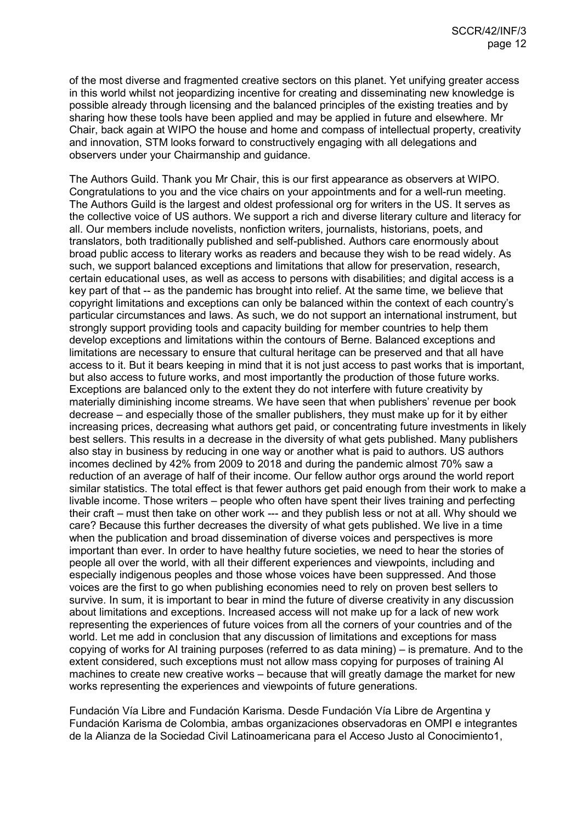of the most diverse and fragmented creative sectors on this planet. Yet unifying greater access in this world whilst not jeopardizing incentive for creating and disseminating new knowledge is possible already through licensing and the balanced principles of the existing treaties and by sharing how these tools have been applied and may be applied in future and elsewhere. Mr Chair, back again at WIPO the house and home and compass of intellectual property, creativity and innovation, STM looks forward to constructively engaging with all delegations and observers under your Chairmanship and guidance.

The Authors Guild. Thank you Mr Chair, this is our first appearance as observers at WIPO. Congratulations to you and the vice chairs on your appointments and for a well-run meeting. The Authors Guild is the largest and oldest professional org for writers in the US. It serves as the collective voice of US authors. We support a rich and diverse literary culture and literacy for all. Our members include novelists, nonfiction writers, journalists, historians, poets, and translators, both traditionally published and self-published. Authors care enormously about broad public access to literary works as readers and because they wish to be read widely. As such, we support balanced exceptions and limitations that allow for preservation, research, certain educational uses, as well as access to persons with disabilities; and digital access is a key part of that -- as the pandemic has brought into relief. At the same time, we believe that copyright limitations and exceptions can only be balanced within the context of each country's particular circumstances and laws. As such, we do not support an international instrument, but strongly support providing tools and capacity building for member countries to help them develop exceptions and limitations within the contours of Berne. Balanced exceptions and limitations are necessary to ensure that cultural heritage can be preserved and that all have access to it. But it bears keeping in mind that it is not just access to past works that is important, but also access to future works, and most importantly the production of those future works. Exceptions are balanced only to the extent they do not interfere with future creativity by materially diminishing income streams. We have seen that when publishers' revenue per book decrease – and especially those of the smaller publishers, they must make up for it by either increasing prices, decreasing what authors get paid, or concentrating future investments in likely best sellers. This results in a decrease in the diversity of what gets published. Many publishers also stay in business by reducing in one way or another what is paid to authors. US authors incomes declined by 42% from 2009 to 2018 and during the pandemic almost 70% saw a reduction of an average of half of their income. Our fellow author orgs around the world report similar statistics. The total effect is that fewer authors get paid enough from their work to make a livable income. Those writers – people who often have spent their lives training and perfecting their craft – must then take on other work --- and they publish less or not at all. Why should we care? Because this further decreases the diversity of what gets published. We live in a time when the publication and broad dissemination of diverse voices and perspectives is more important than ever. In order to have healthy future societies, we need to hear the stories of people all over the world, with all their different experiences and viewpoints, including and especially indigenous peoples and those whose voices have been suppressed. And those voices are the first to go when publishing economies need to rely on proven best sellers to survive. In sum, it is important to bear in mind the future of diverse creativity in any discussion about limitations and exceptions. Increased access will not make up for a lack of new work representing the experiences of future voices from all the corners of your countries and of the world. Let me add in conclusion that any discussion of limitations and exceptions for mass copying of works for AI training purposes (referred to as data mining) – is premature. And to the extent considered, such exceptions must not allow mass copying for purposes of training AI machines to create new creative works – because that will greatly damage the market for new works representing the experiences and viewpoints of future generations.

Fundación Vía Libre and Fundación Karisma. Desde Fundación Vía Libre de Argentina y Fundación Karisma de Colombia, ambas organizaciones observadoras en OMPI e integrantes de la Alianza de la Sociedad Civil Latinoamericana para el Acceso Justo al Conocimiento1,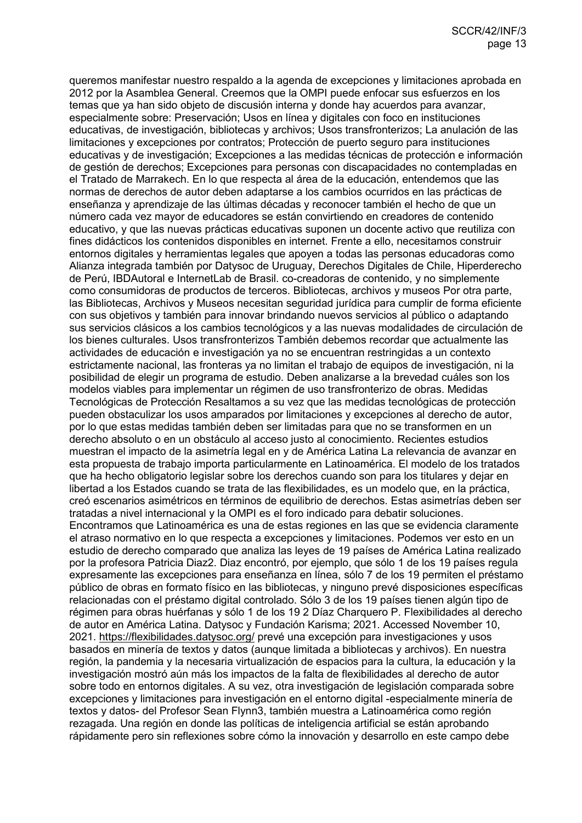queremos manifestar nuestro respaldo a la agenda de excepciones y limitaciones aprobada en 2012 por la Asamblea General. Creemos que la OMPI puede enfocar sus esfuerzos en los temas que ya han sido objeto de discusión interna y donde hay acuerdos para avanzar, especialmente sobre: Preservación; Usos en línea y digitales con foco en instituciones educativas, de investigación, bibliotecas y archivos; Usos transfronterizos; La anulación de las limitaciones y excepciones por contratos; Protección de puerto seguro para instituciones educativas y de investigación; Excepciones a las medidas técnicas de protección e información de gestión de derechos; Excepciones para personas con discapacidades no contempladas en el Tratado de Marrakech. En lo que respecta al área de la educación, entendemos que las normas de derechos de autor deben adaptarse a los cambios ocurridos en las prácticas de enseñanza y aprendizaje de las últimas décadas y reconocer también el hecho de que un número cada vez mayor de educadores se están convirtiendo en creadores de contenido educativo, y que las nuevas prácticas educativas suponen un docente activo que reutiliza con fines didácticos los contenidos disponibles en internet. Frente a ello, necesitamos construir entornos digitales y herramientas legales que apoyen a todas las personas educadoras como Alianza integrada también por Datysoc de Uruguay, Derechos Digitales de Chile, Hiperderecho de Perú, IBDAutoral e InternetLab de Brasil. co-creadoras de contenido, y no simplemente como consumidoras de productos de terceros. Bibliotecas, archivos y museos Por otra parte, las Bibliotecas, Archivos y Museos necesitan seguridad jurídica para cumplir de forma eficiente con sus objetivos y también para innovar brindando nuevos servicios al público o adaptando sus servicios clásicos a los cambios tecnológicos y a las nuevas modalidades de circulación de los bienes culturales. Usos transfronterizos También debemos recordar que actualmente las actividades de educación e investigación ya no se encuentran restringidas a un contexto estrictamente nacional, las fronteras ya no limitan el trabajo de equipos de investigación, ni la posibilidad de elegir un programa de estudio. Deben analizarse a la brevedad cuáles son los modelos viables para implementar un régimen de uso transfronterizo de obras. Medidas Tecnológicas de Protección Resaltamos a su vez que las medidas tecnológicas de protección pueden obstaculizar los usos amparados por limitaciones y excepciones al derecho de autor, por lo que estas medidas también deben ser limitadas para que no se transformen en un derecho absoluto o en un obstáculo al acceso justo al conocimiento. Recientes estudios muestran el impacto de la asimetría legal en y de América Latina La relevancia de avanzar en esta propuesta de trabajo importa particularmente en Latinoamérica. El modelo de los tratados que ha hecho obligatorio legislar sobre los derechos cuando son para los titulares y dejar en libertad a los Estados cuando se trata de las flexibilidades, es un modelo que, en la práctica, creó escenarios asimétricos en términos de equilibrio de derechos. Estas asimetrías deben ser tratadas a nivel internacional y la OMPI es el foro indicado para debatir soluciones. Encontramos que Latinoamérica es una de estas regiones en las que se evidencia claramente el atraso normativo en lo que respecta a excepciones y limitaciones. Podemos ver esto en un estudio de derecho comparado que analiza las leyes de 19 países de América Latina realizado por la profesora Patricia Diaz2. Diaz encontró, por ejemplo, que sólo 1 de los 19 países regula expresamente las excepciones para enseñanza en línea, sólo 7 de los 19 permiten el préstamo público de obras en formato físico en las bibliotecas, y ninguno prevé disposiciones específicas relacionadas con el préstamo digital controlado. Sólo 3 de los 19 países tienen algún tipo de régimen para obras huérfanas y sólo 1 de los 19 2 Díaz Charquero P. Flexibilidades al derecho de autor en América Latina. Datysoc y Fundación Karisma; 2021. Accessed November 10, 2021.<https://flexibilidades.datysoc.org/> prevé una excepción para investigaciones y usos basados en minería de textos y datos (aunque limitada a bibliotecas y archivos). En nuestra región, la pandemia y la necesaria virtualización de espacios para la cultura, la educación y la investigación mostró aún más los impactos de la falta de flexibilidades al derecho de autor sobre todo en entornos digitales. A su vez, otra investigación de legislación comparada sobre excepciones y limitaciones para investigación en el entorno digital -especialmente minería de textos y datos- del Profesor Sean Flynn3, también muestra a Latinoamérica como región rezagada. Una región en donde las políticas de inteligencia artificial se están aprobando rápidamente pero sin reflexiones sobre cómo la innovación y desarrollo en este campo debe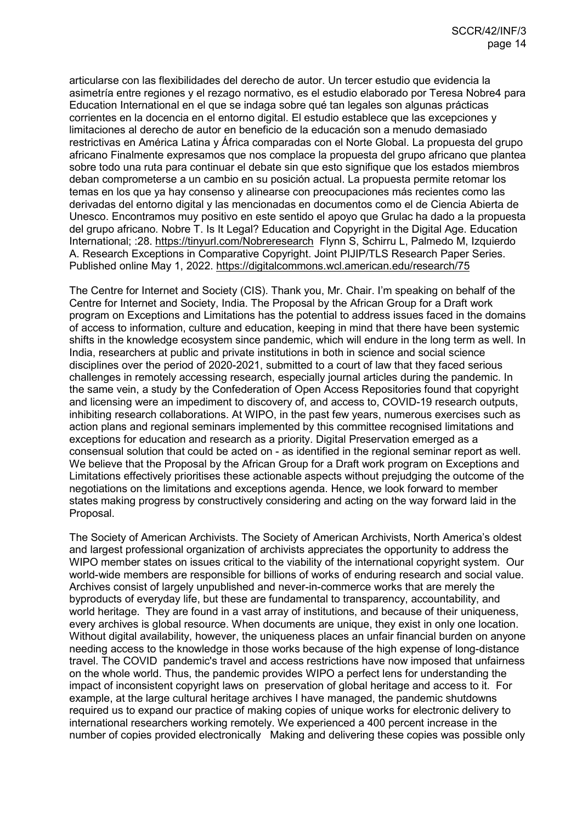articularse con las flexibilidades del derecho de autor. Un tercer estudio que evidencia la asimetría entre regiones y el rezago normativo, es el estudio elaborado por Teresa Nobre4 para Education International en el que se indaga sobre qué tan legales son algunas prácticas corrientes en la docencia en el entorno digital. El estudio establece que las excepciones y limitaciones al derecho de autor en beneficio de la educación son a menudo demasiado restrictivas en América Latina y África comparadas con el Norte Global. La propuesta del grupo africano Finalmente expresamos que nos complace la propuesta del grupo africano que plantea sobre todo una ruta para continuar el debate sin que esto signifique que los estados miembros deban comprometerse a un cambio en su posición actual. La propuesta permite retomar los temas en los que ya hay consenso y alinearse con preocupaciones más recientes como las derivadas del entorno digital y las mencionadas en documentos como el de Ciencia Abierta de Unesco. Encontramos muy positivo en este sentido el apoyo que Grulac ha dado a la propuesta del grupo africano. Nobre T. Is It Legal? Education and Copyright in the Digital Age. Education International; :28.<https://tinyurl.com/Nobreresearch>Flynn S, Schirru L, Palmedo M, Izquierdo A. Research Exceptions in Comparative Copyright. Joint PIJIP/TLS Research Paper Series. Published online May 1, 2022.<https://digitalcommons.wcl.american.edu/research/75>

The Centre for Internet and Society (CIS). Thank you, Mr. Chair. I'm speaking on behalf of the Centre for Internet and Society, India. The Proposal by the African Group for a Draft work program on Exceptions and Limitations has the potential to address issues faced in the domains of access to information, culture and education, keeping in mind that there have been systemic shifts in the knowledge ecosystem since pandemic, which will endure in the long term as well. In India, researchers at public and private institutions in both in science and social science disciplines over the period of 2020-2021, submitted to a court of law that they faced serious challenges in remotely accessing research, especially journal articles during the pandemic. In the same vein, a study by the Confederation of Open Access Repositories found that copyright and licensing were an impediment to discovery of, and access to, COVID-19 research outputs, inhibiting research collaborations. At WIPO, in the past few years, numerous exercises such as action plans and regional seminars implemented by this committee recognised limitations and exceptions for education and research as a priority. Digital Preservation emerged as a consensual solution that could be acted on - as identified in the regional seminar report as well. We believe that the Proposal by the African Group for a Draft work program on Exceptions and Limitations effectively prioritises these actionable aspects without prejudging the outcome of the negotiations on the limitations and exceptions agenda. Hence, we look forward to member states making progress by constructively considering and acting on the way forward laid in the Proposal.

The Society of American Archivists. The Society of American Archivists, North America's oldest and largest professional organization of archivists appreciates the opportunity to address the WIPO member states on issues critical to the viability of the international copyright system. Our world-wide members are responsible for billions of works of enduring research and social value. Archives consist of largely unpublished and never-in-commerce works that are merely the byproducts of everyday life, but these are fundamental to transparency, accountability, and world heritage. They are found in a vast array of institutions, and because of their uniqueness, every archives is global resource. When documents are unique, they exist in only one location. Without digital availability, however, the uniqueness places an unfair financial burden on anyone needing access to the knowledge in those works because of the high expense of long-distance travel. The COVID pandemic's travel and access restrictions have now imposed that unfairness on the whole world. Thus, the pandemic provides WIPO a perfect lens for understanding the impact of inconsistent copyright laws on preservation of global heritage and access to it. For example, at the large cultural heritage archives I have managed, the pandemic shutdowns required us to expand our practice of making copies of unique works for electronic delivery to international researchers working remotely. We experienced a 400 percent increase in the number of copies provided electronically Making and delivering these copies was possible only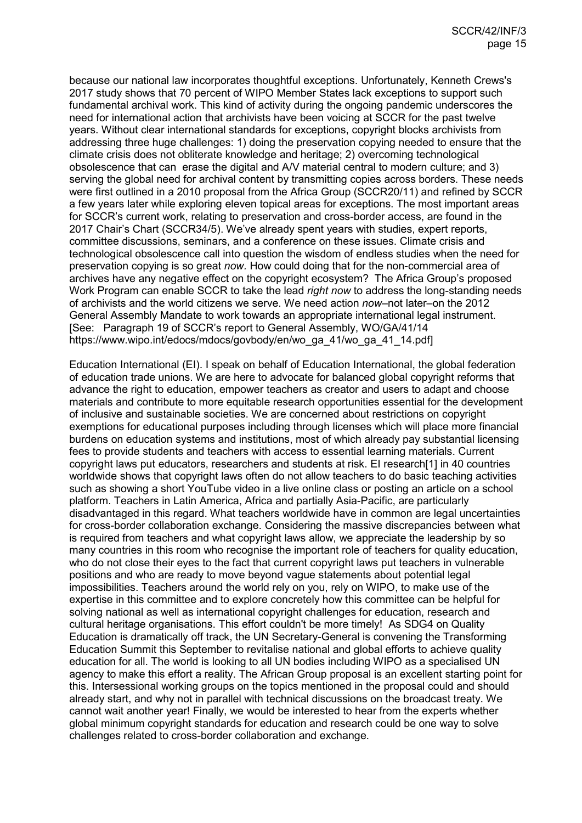because our national law incorporates thoughtful exceptions. Unfortunately, Kenneth Crews's 2017 study shows that 70 percent of WIPO Member States lack exceptions to support such fundamental archival work. This kind of activity during the ongoing pandemic underscores the need for international action that archivists have been voicing at SCCR for the past twelve years. Without clear international standards for exceptions, copyright blocks archivists from addressing three huge challenges: 1) doing the preservation copying needed to ensure that the climate crisis does not obliterate knowledge and heritage; 2) overcoming technological obsolescence that can erase the digital and A/V material central to modern culture; and 3) serving the global need for archival content by transmitting copies across borders. These needs were first outlined in a 2010 proposal from the Africa Group (SCCR20/11) and refined by SCCR a few years later while exploring eleven topical areas for exceptions. The most important areas for SCCR's current work, relating to preservation and cross-border access, are found in the 2017 Chair's Chart (SCCR34/5). We've already spent years with studies, expert reports, committee discussions, seminars, and a conference on these issues. Climate crisis and technological obsolescence call into question the wisdom of endless studies when the need for preservation copying is so great *now.* How could doing that for the non-commercial area of archives have any negative effect on the copyright ecosystem? The Africa Group's proposed Work Program can enable SCCR to take the lead *right now* to address the long-standing needs of archivists and the world citizens we serve. We need action *now–*not later–on the 2012 General Assembly Mandate to work towards an appropriate international legal instrument. [See: Paragraph 19 of SCCR's report to General Assembly, WO/GA/41/14 https://www.wipo.int/edocs/mdocs/govbody/en/wo\_ga\_41/wo\_ga\_41\_14.pdf]

Education International (EI). I speak on behalf of Education International, the global federation of education trade unions. We are here to advocate for balanced global copyright reforms that advance the right to education, empower teachers as creator and users to adapt and choose materials and contribute to more equitable research opportunities essential for the development of inclusive and sustainable societies. We are concerned about restrictions on copyright exemptions for educational purposes including through licenses which will place more financial burdens on education systems and institutions, most of which already pay substantial licensing fees to provide students and teachers with access to essential learning materials. Current copyright laws put educators, researchers and students at risk. EI research[1] in 40 countries worldwide shows that copyright laws often do not allow teachers to do basic teaching activities such as showing a short YouTube video in a live online class or posting an article on a school platform. Teachers in Latin America, Africa and partially Asia-Pacific, are particularly disadvantaged in this regard. What teachers worldwide have in common are legal uncertainties for cross-border collaboration exchange. Considering the massive discrepancies between what is required from teachers and what copyright laws allow, we appreciate the leadership by so many countries in this room who recognise the important role of teachers for quality education, who do not close their eyes to the fact that current copyright laws put teachers in vulnerable positions and who are ready to move beyond vague statements about potential legal impossibilities. Teachers around the world rely on you, rely on WIPO, to make use of the expertise in this committee and to explore concretely how this committee can be helpful for solving national as well as international copyright challenges for education, research and cultural heritage organisations. This effort couldn't be more timely! As SDG4 on Quality Education is dramatically off track, the UN Secretary-General is convening the Transforming Education Summit this September to revitalise national and global efforts to achieve quality education for all. The world is looking to all UN bodies including WIPO as a specialised UN agency to make this effort a reality. The African Group proposal is an excellent starting point for this. Intersessional working groups on the topics mentioned in the proposal could and should already start, and why not in parallel with technical discussions on the broadcast treaty. We cannot wait another year! Finally, we would be interested to hear from the experts whether global minimum copyright standards for education and research could be one way to solve challenges related to cross-border collaboration and exchange.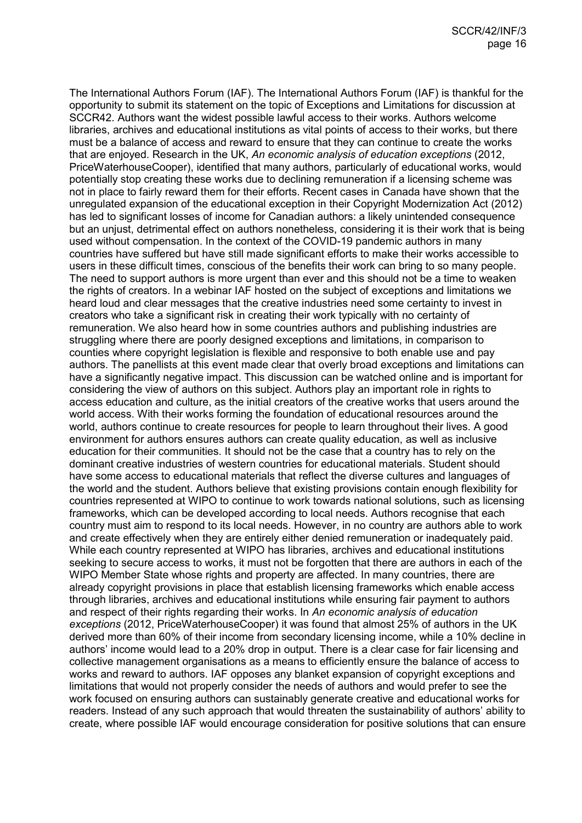The International Authors Forum (IAF). The International Authors Forum (IAF) is thankful for the opportunity to submit its statement on the topic of Exceptions and Limitations for discussion at SCCR42. Authors want the widest possible lawful access to their works. Authors welcome libraries, archives and educational institutions as vital points of access to their works, but there must be a balance of access and reward to ensure that they can continue to create the works that are enjoyed. Research in the UK, *An economic analysis of education exceptions* (2012, PriceWaterhouseCooper), identified that many authors, particularly of educational works, would potentially stop creating these works due to declining remuneration if a licensing scheme was not in place to fairly reward them for their efforts. Recent cases in Canada have shown that the unregulated expansion of the educational exception in their Copyright Modernization Act (2012) has led to significant losses of income for Canadian authors: a likely unintended consequence but an unjust, detrimental effect on authors nonetheless, considering it is their work that is being used without compensation. In the context of the COVID-19 pandemic authors in many countries have suffered but have still made significant efforts to make their works accessible to users in these difficult times, conscious of the benefits their work can bring to so many people. The need to support authors is more urgent than ever and this should not be a time to weaken the rights of creators. In a webinar IAF hosted on the subject of exceptions and limitations we heard loud and clear messages that the creative industries need some certainty to invest in creators who take a significant risk in creating their work typically with no certainty of remuneration. We also heard how in some countries authors and publishing industries are struggling where there are poorly designed exceptions and limitations, in comparison to counties where copyright legislation is flexible and responsive to both enable use and pay authors. The panellists at this event made clear that overly broad exceptions and limitations can have a significantly negative impact. This discussion can be watched online and is important for considering the view of authors on this subject. Authors play an important role in rights to access education and culture, as the initial creators of the creative works that users around the world access. With their works forming the foundation of educational resources around the world, authors continue to create resources for people to learn throughout their lives. A good environment for authors ensures authors can create quality education, as well as inclusive education for their communities. It should not be the case that a country has to rely on the dominant creative industries of western countries for educational materials. Student should have some access to educational materials that reflect the diverse cultures and languages of the world and the student. Authors believe that existing provisions contain enough flexibility for countries represented at WIPO to continue to work towards national solutions, such as licensing frameworks, which can be developed according to local needs. Authors recognise that each country must aim to respond to its local needs. However, in no country are authors able to work and create effectively when they are entirely either denied remuneration or inadequately paid. While each country represented at WIPO has libraries, archives and educational institutions seeking to secure access to works, it must not be forgotten that there are authors in each of the WIPO Member State whose rights and property are affected. In many countries, there are already copyright provisions in place that establish licensing frameworks which enable access through libraries, archives and educational institutions while ensuring fair payment to authors and respect of their rights regarding their works. In *An economic analysis of education exceptions* (2012, PriceWaterhouseCooper) it was found that almost 25% of authors in the UK derived more than 60% of their income from secondary licensing income, while a 10% decline in authors' income would lead to a 20% drop in output. There is a clear case for fair licensing and collective management organisations as a means to efficiently ensure the balance of access to works and reward to authors. IAF opposes any blanket expansion of copyright exceptions and limitations that would not properly consider the needs of authors and would prefer to see the work focused on ensuring authors can sustainably generate creative and educational works for readers. Instead of any such approach that would threaten the sustainability of authors' ability to create, where possible IAF would encourage consideration for positive solutions that can ensure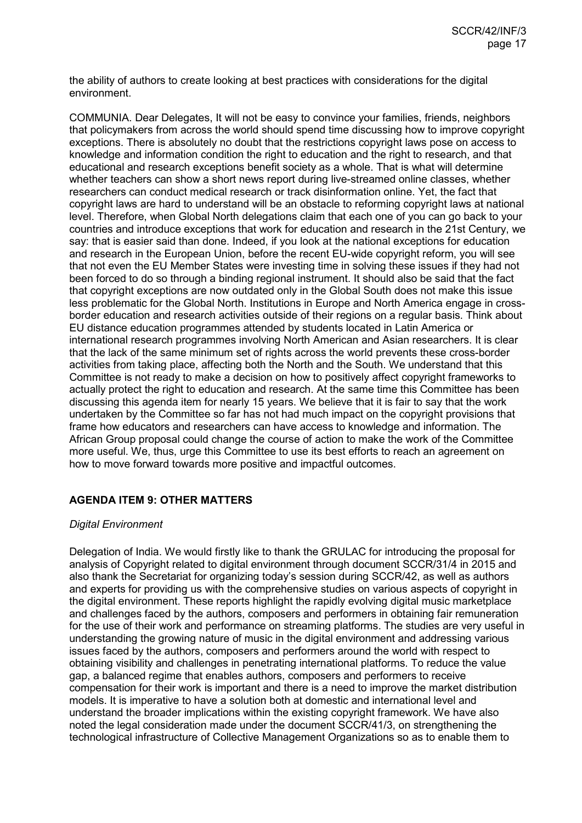the ability of authors to create looking at best practices with considerations for the digital environment.

COMMUNIA. Dear Delegates, It will not be easy to convince your families, friends, neighbors that policymakers from across the world should spend time discussing how to improve copyright exceptions. There is absolutely no doubt that the restrictions copyright laws pose on access to knowledge and information condition the right to education and the right to research, and that educational and research exceptions benefit society as a whole. That is what will determine whether teachers can show a short news report during live-streamed online classes, whether researchers can conduct medical research or track disinformation online. Yet, the fact that copyright laws are hard to understand will be an obstacle to reforming copyright laws at national level. Therefore, when Global North delegations claim that each one of you can go back to your countries and introduce exceptions that work for education and research in the 21st Century, we say: that is easier said than done. Indeed, if you look at the national exceptions for education and research in the European Union, before the recent EU-wide copyright reform, you will see that not even the EU Member States were investing time in solving these issues if they had not been forced to do so through a binding regional instrument. It should also be said that the fact that copyright exceptions are now outdated only in the Global South does not make this issue less problematic for the Global North. Institutions in Europe and North America engage in crossborder education and research activities outside of their regions on a regular basis. Think about EU distance education programmes attended by students located in Latin America or international research programmes involving North American and Asian researchers. It is clear that the lack of the same minimum set of rights across the world prevents these cross-border activities from taking place, affecting both the North and the South. We understand that this Committee is not ready to make a decision on how to positively affect copyright frameworks to actually protect the right to education and research. At the same time this Committee has been discussing this agenda item for nearly 15 years. We believe that it is fair to say that the work undertaken by the Committee so far has not had much impact on the copyright provisions that frame how educators and researchers can have access to knowledge and information. The African Group proposal could change the course of action to make the work of the Committee more useful. We, thus, urge this Committee to use its best efforts to reach an agreement on how to move forward towards more positive and impactful outcomes.

# **AGENDA ITEM 9: OTHER MATTERS**

# *Digital Environment*

Delegation of India. We would firstly like to thank the GRULAC for introducing the proposal for analysis of Copyright related to digital environment through document SCCR/31/4 in 2015 and also thank the Secretariat for organizing today's session during SCCR/42, as well as authors and experts for providing us with the comprehensive studies on various aspects of copyright in the digital environment. These reports highlight the rapidly evolving digital music marketplace and challenges faced by the authors, composers and performers in obtaining fair remuneration for the use of their work and performance on streaming platforms. The studies are very useful in understanding the growing nature of music in the digital environment and addressing various issues faced by the authors, composers and performers around the world with respect to obtaining visibility and challenges in penetrating international platforms. To reduce the value gap, a balanced regime that enables authors, composers and performers to receive compensation for their work is important and there is a need to improve the market distribution models. It is imperative to have a solution both at domestic and international level and understand the broader implications within the existing copyright framework. We have also noted the legal consideration made under the document SCCR/41/3, on strengthening the technological infrastructure of Collective Management Organizations so as to enable them to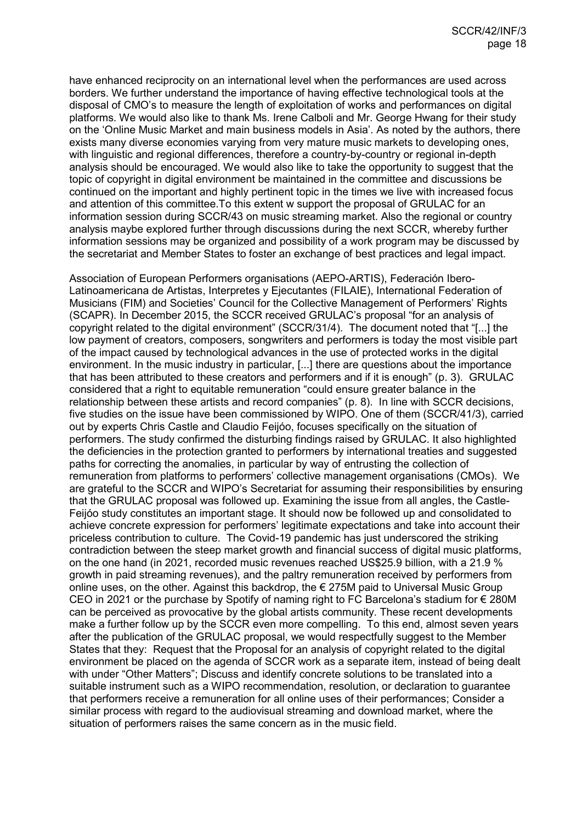have enhanced reciprocity on an international level when the performances are used across borders. We further understand the importance of having effective technological tools at the disposal of CMO's to measure the length of exploitation of works and performances on digital platforms. We would also like to thank Ms. Irene Calboli and Mr. George Hwang for their study on the 'Online Music Market and main business models in Asia'. As noted by the authors, there exists many diverse economies varying from very mature music markets to developing ones, with linguistic and regional differences, therefore a country-by-country or regional in-depth analysis should be encouraged. We would also like to take the opportunity to suggest that the topic of copyright in digital environment be maintained in the committee and discussions be continued on the important and highly pertinent topic in the times we live with increased focus and attention of this committee.To this extent w support the proposal of GRULAC for an information session during SCCR/43 on music streaming market. Also the regional or country analysis maybe explored further through discussions during the next SCCR, whereby further information sessions may be organized and possibility of a work program may be discussed by the secretariat and Member States to foster an exchange of best practices and legal impact.

Association of European Performers organisations (AEPO-ARTIS), Federación Ibero-Latinoamericana de Artistas, Interpretes y Ejecutantes (FILAIE), International Federation of Musicians (FIM) and Societies' Council for the Collective Management of Performers' Rights (SCAPR). In December 2015, the SCCR received GRULAC's proposal "for an analysis of copyright related to the digital environment" (SCCR/31/4). The document noted that "[...] the low payment of creators, composers, songwriters and performers is today the most visible part of the impact caused by technological advances in the use of protected works in the digital environment. In the music industry in particular, [...] there are questions about the importance that has been attributed to these creators and performers and if it is enough" (p. 3). GRULAC considered that a right to equitable remuneration "could ensure greater balance in the relationship between these artists and record companies" (p. 8). In line with SCCR decisions, five studies on the issue have been commissioned by WIPO. One of them (SCCR/41/3), carried out by experts Chris Castle and Claudio Feijóo, focuses specifically on the situation of performers. The study confirmed the disturbing findings raised by GRULAC. It also highlighted the deficiencies in the protection granted to performers by international treaties and suggested paths for correcting the anomalies, in particular by way of entrusting the collection of remuneration from platforms to performers' collective management organisations (CMOs). We are grateful to the SCCR and WIPO's Secretariat for assuming their responsibilities by ensuring that the GRULAC proposal was followed up. Examining the issue from all angles, the Castle-Feijóo study constitutes an important stage. It should now be followed up and consolidated to achieve concrete expression for performers' legitimate expectations and take into account their priceless contribution to culture. The Covid-19 pandemic has just underscored the striking contradiction between the steep market growth and financial success of digital music platforms, on the one hand (in 2021, recorded music revenues reached US\$25.9 billion, with a 21.9 % growth in paid streaming revenues), and the paltry remuneration received by performers from online uses, on the other. Against this backdrop, the  $\epsilon$  275M paid to Universal Music Group CEO in 2021 or the purchase by Spotify of naming right to FC Barcelona's stadium for € 280M can be perceived as provocative by the global artists community. These recent developments make a further follow up by the SCCR even more compelling. To this end, almost seven years after the publication of the GRULAC proposal, we would respectfully suggest to the Member States that they: Request that the Proposal for an analysis of copyright related to the digital environment be placed on the agenda of SCCR work as a separate item, instead of being dealt with under "Other Matters"; Discuss and identify concrete solutions to be translated into a suitable instrument such as a WIPO recommendation, resolution, or declaration to guarantee that performers receive a remuneration for all online uses of their performances; Consider a similar process with regard to the audiovisual streaming and download market, where the situation of performers raises the same concern as in the music field.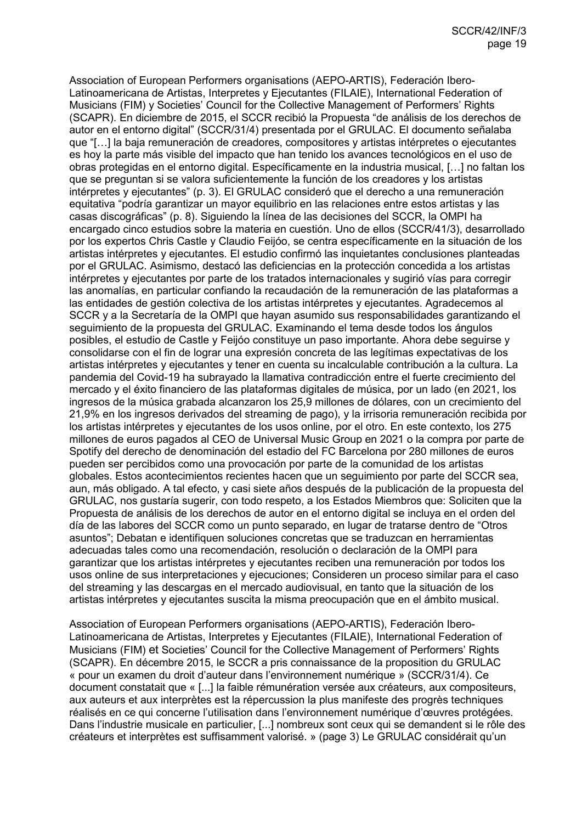Association of European Performers organisations (AEPO-ARTIS), Federación Ibero-Latinoamericana de Artistas, Interpretes y Ejecutantes (FILAIE), International Federation of Musicians (FIM) y Societies' Council for the Collective Management of Performers' Rights (SCAPR). En diciembre de 2015, el SCCR recibió la Propuesta "de análisis de los derechos de autor en el entorno digital" (SCCR/31/4) presentada por el GRULAC. El documento señalaba que "[…] la baja remuneración de creadores, compositores y artistas intérpretes o ejecutantes es hoy la parte más visible del impacto que han tenido los avances tecnológicos en el uso de obras protegidas en el entorno digital. Específicamente en la industria musical, […] no faltan los que se preguntan si se valora suficientemente la función de los creadores y los artistas intérpretes y ejecutantes" (p. 3). El GRULAC consideró que el derecho a una remuneración equitativa "podría garantizar un mayor equilibrio en las relaciones entre estos artistas y las casas discográficas" (p. 8). Siguiendo la línea de las decisiones del SCCR, la OMPI ha encargado cinco estudios sobre la materia en cuestión. Uno de ellos (SCCR/41/3), desarrollado por los expertos Chris Castle y Claudio Feijóo, se centra específicamente en la situación de los artistas intérpretes y ejecutantes. El estudio confirmó las inquietantes conclusiones planteadas por el GRULAC. Asimismo, destacó las deficiencias en la protección concedida a los artistas intérpretes y ejecutantes por parte de los tratados internacionales y sugirió vías para corregir las anomalías, en particular confiando la recaudación de la remuneración de las plataformas a las entidades de gestión colectiva de los artistas intérpretes y ejecutantes. Agradecemos al SCCR y a la Secretaría de la OMPI que hayan asumido sus responsabilidades garantizando el seguimiento de la propuesta del GRULAC. Examinando el tema desde todos los ángulos posibles, el estudio de Castle y Feijóo constituye un paso importante. Ahora debe seguirse y consolidarse con el fin de lograr una expresión concreta de las legítimas expectativas de los artistas intérpretes y ejecutantes y tener en cuenta su incalculable contribución a la cultura. La pandemia del Covid-19 ha subrayado la llamativa contradicción entre el fuerte crecimiento del mercado y el éxito financiero de las plataformas digitales de música, por un lado (en 2021, los ingresos de la música grabada alcanzaron los 25,9 millones de dólares, con un crecimiento del 21,9% en los ingresos derivados del streaming de pago), y la irrisoria remuneración recibida por los artistas intérpretes y ejecutantes de los usos online, por el otro. En este contexto, los 275 millones de euros pagados al CEO de Universal Music Group en 2021 o la compra por parte de Spotify del derecho de denominación del estadio del FC Barcelona por 280 millones de euros pueden ser percibidos como una provocación por parte de la comunidad de los artistas globales. Estos acontecimientos recientes hacen que un seguimiento por parte del SCCR sea, aun, más obligado. A tal efecto, y casi siete años después de la publicación de la propuesta del GRULAC, nos gustaría sugerir, con todo respeto, a los Estados Miembros que: Soliciten que la Propuesta de análisis de los derechos de autor en el entorno digital se incluya en el orden del día de las labores del SCCR como un punto separado, en lugar de tratarse dentro de "Otros asuntos"; Debatan e identifiquen soluciones concretas que se traduzcan en herramientas adecuadas tales como una recomendación, resolución o declaración de la OMPI para garantizar que los artistas intérpretes y ejecutantes reciben una remuneración por todos los usos online de sus interpretaciones y ejecuciones; Consideren un proceso similar para el caso del streaming y las descargas en el mercado audiovisual, en tanto que la situación de los artistas intérpretes y ejecutantes suscita la misma preocupación que en el ámbito musical.

Association of European Performers organisations (AEPO-ARTIS), Federación Ibero-Latinoamericana de Artistas, Interpretes y Ejecutantes (FILAIE), International Federation of Musicians (FIM) et Societies' Council for the Collective Management of Performers' Rights (SCAPR). En décembre 2015, le SCCR a pris connaissance de la proposition du GRULAC « pour un examen du droit d'auteur dans l'environnement numérique » (SCCR/31/4). Ce document constatait que « [...] la faible rémunération versée aux créateurs, aux compositeurs, aux auteurs et aux interprètes est la répercussion la plus manifeste des progrès techniques réalisés en ce qui concerne l'utilisation dans l'environnement numérique d'œuvres protégées. Dans l'industrie musicale en particulier, [...] nombreux sont ceux qui se demandent si le rôle des créateurs et interprètes est suffisamment valorisé. » (page 3) Le GRULAC considérait qu'un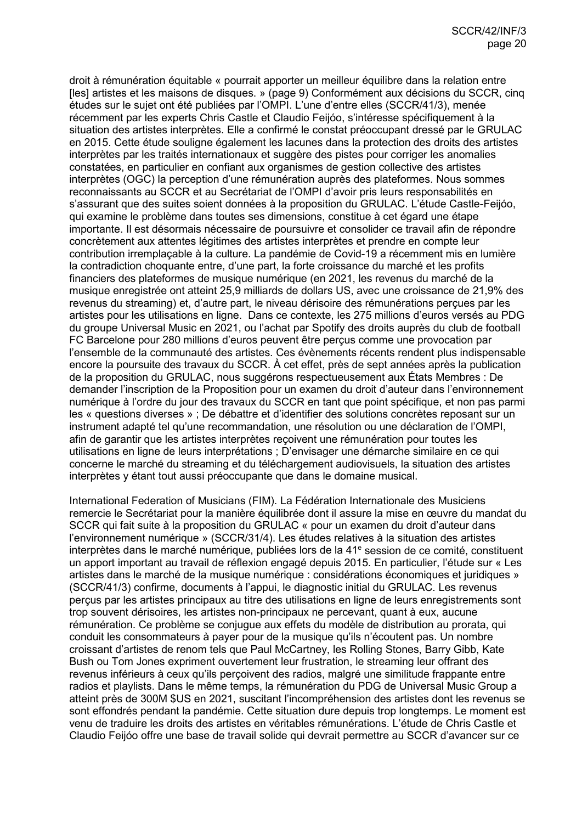droit à rémunération équitable « pourrait apporter un meilleur équilibre dans la relation entre [les] artistes et les maisons de disques. » (page 9) Conformément aux décisions du SCCR, cinq études sur le sujet ont été publiées par l'OMPI. L'une d'entre elles (SCCR/41/3), menée récemment par les experts Chris Castle et Claudio Feijóo, s'intéresse spécifiquement à la situation des artistes interprètes. Elle a confirmé le constat préoccupant dressé par le GRULAC en 2015. Cette étude souligne également les lacunes dans la protection des droits des artistes interprètes par les traités internationaux et suggère des pistes pour corriger les anomalies constatées, en particulier en confiant aux organismes de gestion collective des artistes interprètes (OGC) la perception d'une rémunération auprès des plateformes. Nous sommes reconnaissants au SCCR et au Secrétariat de l'OMPI d'avoir pris leurs responsabilités en s'assurant que des suites soient données à la proposition du GRULAC. L'étude Castle-Feijóo, qui examine le problème dans toutes ses dimensions, constitue à cet égard une étape importante. Il est désormais nécessaire de poursuivre et consolider ce travail afin de répondre concrètement aux attentes légitimes des artistes interprètes et prendre en compte leur contribution irremplaçable à la culture. La pandémie de Covid-19 a récemment mis en lumière la contradiction choquante entre, d'une part, la forte croissance du marché et les profits financiers des plateformes de musique numérique (en 2021, les revenus du marché de la musique enregistrée ont atteint 25,9 milliards de dollars US, avec une croissance de 21,9% des revenus du streaming) et, d'autre part, le niveau dérisoire des rémunérations perçues par les artistes pour les utilisations en ligne. Dans ce contexte, les 275 millions d'euros versés au PDG du groupe Universal Music en 2021, ou l'achat par Spotify des droits auprès du club de football FC Barcelone pour 280 millions d'euros peuvent être perçus comme une provocation par l'ensemble de la communauté des artistes. Ces évènements récents rendent plus indispensable encore la poursuite des travaux du SCCR. À cet effet, près de sept années après la publication de la proposition du GRULAC, nous suggérons respectueusement aux États Membres : De demander l'inscription de la Proposition pour un examen du droit d'auteur dans l'environnement numérique à l'ordre du jour des travaux du SCCR en tant que point spécifique, et non pas parmi les « questions diverses » ; De débattre et d'identifier des solutions concrètes reposant sur un instrument adapté tel qu'une recommandation, une résolution ou une déclaration de l'OMPI, afin de garantir que les artistes interprètes reçoivent une rémunération pour toutes les utilisations en ligne de leurs interprétations ; D'envisager une démarche similaire en ce qui concerne le marché du streaming et du téléchargement audiovisuels, la situation des artistes interprètes y étant tout aussi préoccupante que dans le domaine musical.

International Federation of Musicians (FIM). La Fédération Internationale des Musiciens remercie le Secrétariat pour la manière équilibrée dont il assure la mise en œuvre du mandat du SCCR qui fait suite à la proposition du GRULAC « pour un examen du droit d'auteur dans l'environnement numérique » (SCCR/31/4). Les études relatives à la situation des artistes interprètes dans le marché numérique, publiées lors de la 41<sup>e</sup> session de ce comité, constituent un apport important au travail de réflexion engagé depuis 2015. En particulier, l'étude sur « Les artistes dans le marché de la musique numérique : considérations économiques et juridiques » (SCCR/41/3) confirme, documents à l'appui, le diagnostic initial du GRULAC. Les revenus perçus par les artistes principaux au titre des utilisations en ligne de leurs enregistrements sont trop souvent dérisoires, les artistes non-principaux ne percevant, quant à eux, aucune rémunération. Ce problème se conjugue aux effets du modèle de distribution au prorata, qui conduit les consommateurs à payer pour de la musique qu'ils n'écoutent pas. Un nombre croissant d'artistes de renom tels que Paul McCartney, les Rolling Stones, Barry Gibb, Kate Bush ou Tom Jones expriment ouvertement leur frustration, le streaming leur offrant des revenus inférieurs à ceux qu'ils perçoivent des radios, malgré une similitude frappante entre radios et playlists. Dans le même temps, la rémunération du PDG de Universal Music Group a atteint près de 300M \$US en 2021, suscitant l'incompréhension des artistes dont les revenus se sont effondrés pendant la pandémie. Cette situation dure depuis trop longtemps. Le moment est venu de traduire les droits des artistes en véritables rémunérations. L'étude de Chris Castle et Claudio Feijóo offre une base de travail solide qui devrait permettre au SCCR d'avancer sur ce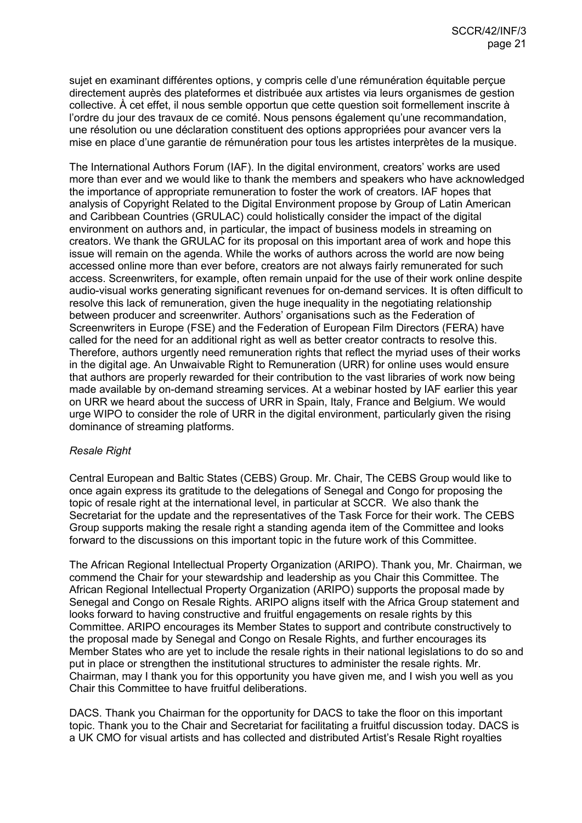sujet en examinant différentes options, y compris celle d'une rémunération équitable perçue directement auprès des plateformes et distribuée aux artistes via leurs organismes de gestion collective. À cet effet, il nous semble opportun que cette question soit formellement inscrite à l'ordre du jour des travaux de ce comité. Nous pensons également qu'une recommandation, une résolution ou une déclaration constituent des options appropriées pour avancer vers la mise en place d'une garantie de rémunération pour tous les artistes interprètes de la musique.

The International Authors Forum (IAF). In the digital environment, creators' works are used more than ever and we would like to thank the members and speakers who have acknowledged the importance of appropriate remuneration to foster the work of creators. IAF hopes that analysis of Copyright Related to the Digital Environment propose by Group of Latin American and Caribbean Countries (GRULAC) could holistically consider the impact of the digital environment on authors and, in particular, the impact of business models in streaming on creators. We thank the GRULAC for its proposal on this important area of work and hope this issue will remain on the agenda. While the works of authors across the world are now being accessed online more than ever before, creators are not always fairly remunerated for such access. Screenwriters, for example, often remain unpaid for the use of their work online despite audio-visual works generating significant revenues for on-demand services. It is often difficult to resolve this lack of remuneration, given the huge inequality in the negotiating relationship between producer and screenwriter. Authors' organisations such as the Federation of Screenwriters in Europe (FSE) and the Federation of European Film Directors (FERA) have called for the need for an additional right as well as better creator contracts to resolve this. Therefore, authors urgently need remuneration rights that reflect the myriad uses of their works in the digital age. An Unwaivable Right to Remuneration (URR) for online uses would ensure that authors are properly rewarded for their contribution to the vast libraries of work now being made available by on-demand streaming services. At a webinar hosted by IAF earlier this year on URR we heard about the success of URR in Spain, Italy, France and Belgium. We would urge WIPO to consider the role of URR in the digital environment, particularly given the rising dominance of streaming platforms.

# *Resale Right*

Central European and Baltic States (CEBS) Group. Mr. Chair, The CEBS Group would like to once again express its gratitude to the delegations of Senegal and Congo for proposing the topic of resale right at the international level, in particular at SCCR. We also thank the Secretariat for the update and the representatives of the Task Force for their work. The CEBS Group supports making the resale right a standing agenda item of the Committee and looks forward to the discussions on this important topic in the future work of this Committee.

The African Regional Intellectual Property Organization (ARIPO). Thank you, Mr. Chairman, we commend the Chair for your stewardship and leadership as you Chair this Committee. The African Regional Intellectual Property Organization (ARIPO) supports the proposal made by Senegal and Congo on Resale Rights. ARIPO aligns itself with the Africa Group statement and looks forward to having constructive and fruitful engagements on resale rights by this Committee. ARIPO encourages its Member States to support and contribute constructively to the proposal made by Senegal and Congo on Resale Rights, and further encourages its Member States who are yet to include the resale rights in their national legislations to do so and put in place or strengthen the institutional structures to administer the resale rights. Mr. Chairman, may I thank you for this opportunity you have given me, and I wish you well as you Chair this Committee to have fruitful deliberations.

DACS. Thank you Chairman for the opportunity for DACS to take the floor on this important topic. Thank you to the Chair and Secretariat for facilitating a fruitful discussion today. DACS is a UK CMO for visual artists and has collected and distributed Artist's Resale Right royalties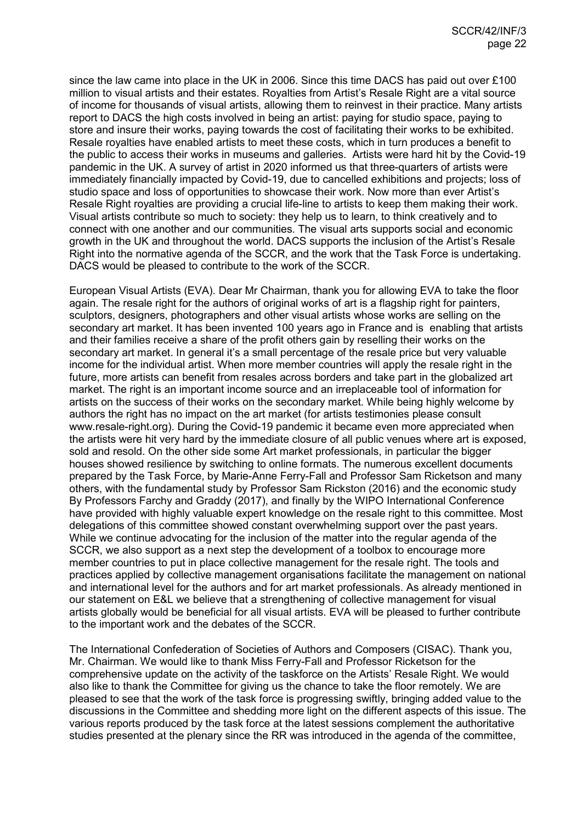since the law came into place in the UK in 2006. Since this time DACS has paid out over £100 million to visual artists and their estates. Royalties from Artist's Resale Right are a vital source of income for thousands of visual artists, allowing them to reinvest in their practice. Many artists report to DACS the high costs involved in being an artist: paying for studio space, paying to store and insure their works, paying towards the cost of facilitating their works to be exhibited. Resale royalties have enabled artists to meet these costs, which in turn produces a benefit to the public to access their works in museums and galleries. Artists were hard hit by the Covid-19 pandemic in the UK. A survey of artist in 2020 informed us that three-quarters of artists were immediately financially impacted by Covid-19, due to cancelled exhibitions and projects; loss of studio space and loss of opportunities to showcase their work. Now more than ever Artist's Resale Right royalties are providing a crucial life-line to artists to keep them making their work. Visual artists contribute so much to society: they help us to learn, to think creatively and to connect with one another and our communities. The visual arts supports social and economic growth in the UK and throughout the world. DACS supports the inclusion of the Artist's Resale Right into the normative agenda of the SCCR, and the work that the Task Force is undertaking. DACS would be pleased to contribute to the work of the SCCR.

European Visual Artists (EVA). Dear Mr Chairman, thank you for allowing EVA to take the floor again. The resale right for the authors of original works of art is a flagship right for painters, sculptors, designers, photographers and other visual artists whose works are selling on the secondary art market. It has been invented 100 years ago in France and is enabling that artists and their families receive a share of the profit others gain by reselling their works on the secondary art market. In general it's a small percentage of the resale price but very valuable income for the individual artist. When more member countries will apply the resale right in the future, more artists can benefit from resales across borders and take part in the globalized art market. The right is an important income source and an irreplaceable tool of information for artists on the success of their works on the secondary market. While being highly welcome by authors the right has no impact on the art market (for artists testimonies please consult www.resale-right.org). During the Covid-19 pandemic it became even more appreciated when the artists were hit very hard by the immediate closure of all public venues where art is exposed, sold and resold. On the other side some Art market professionals, in particular the bigger houses showed resilience by switching to online formats. The numerous excellent documents prepared by the Task Force, by Marie-Anne Ferry-Fall and Professor Sam Ricketson and many others, with the fundamental study by Professor Sam Rickston (2016) and the economic study By Professors Farchy and Graddy (2017), and finally by the WIPO International Conference have provided with highly valuable expert knowledge on the resale right to this committee. Most delegations of this committee showed constant overwhelming support over the past years. While we continue advocating for the inclusion of the matter into the regular agenda of the SCCR, we also support as a next step the development of a toolbox to encourage more member countries to put in place collective management for the resale right. The tools and practices applied by collective management organisations facilitate the management on national and international level for the authors and for art market professionals. As already mentioned in our statement on E&L we believe that a strengthening of collective management for visual artists globally would be beneficial for all visual artists. EVA will be pleased to further contribute to the important work and the debates of the SCCR.

The International Confederation of Societies of Authors and Composers (CISAC). Thank you, Mr. Chairman. We would like to thank Miss Ferry-Fall and Professor Ricketson for the comprehensive update on the activity of the taskforce on the Artists' Resale Right. We would also like to thank the Committee for giving us the chance to take the floor remotely. We are pleased to see that the work of the task force is progressing swiftly, bringing added value to the discussions in the Committee and shedding more light on the different aspects of this issue. The various reports produced by the task force at the latest sessions complement the authoritative studies presented at the plenary since the RR was introduced in the agenda of the committee,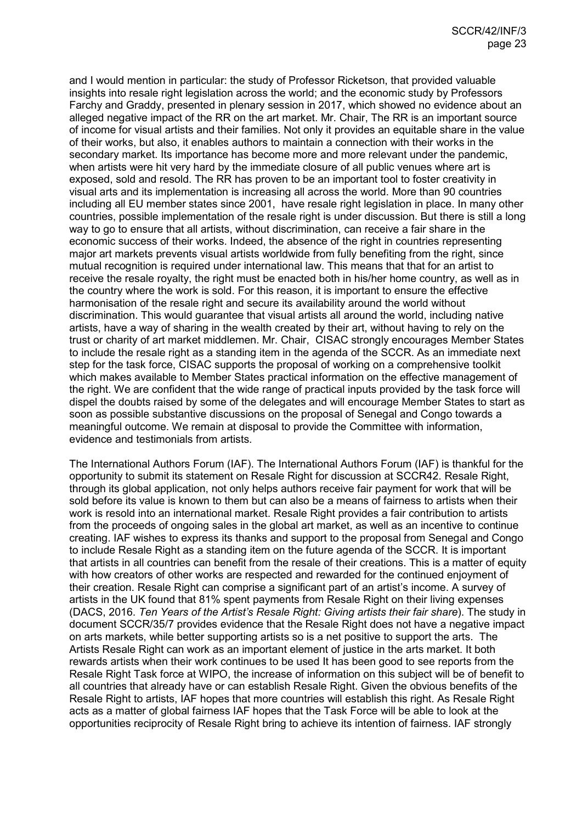and I would mention in particular: the study of Professor Ricketson, that provided valuable insights into resale right legislation across the world; and the economic study by Professors Farchy and Graddy, presented in plenary session in 2017, which showed no evidence about an alleged negative impact of the RR on the art market. Mr. Chair, The RR is an important source of income for visual artists and their families. Not only it provides an equitable share in the value of their works, but also, it enables authors to maintain a connection with their works in the secondary market. Its importance has become more and more relevant under the pandemic, when artists were hit very hard by the immediate closure of all public venues where art is exposed, sold and resold. The RR has proven to be an important tool to foster creativity in visual arts and its implementation is increasing all across the world. More than 90 countries including all EU member states since 2001, have resale right legislation in place. In many other countries, possible implementation of the resale right is under discussion. But there is still a long way to go to ensure that all artists, without discrimination, can receive a fair share in the economic success of their works. Indeed, the absence of the right in countries representing major art markets prevents visual artists worldwide from fully benefiting from the right, since mutual recognition is required under international law. This means that that for an artist to receive the resale royalty, the right must be enacted both in his/her home country, as well as in the country where the work is sold. For this reason, it is important to ensure the effective harmonisation of the resale right and secure its availability around the world without discrimination. This would guarantee that visual artists all around the world, including native artists, have a way of sharing in the wealth created by their art, without having to rely on the trust or charity of art market middlemen. Mr. Chair, CISAC strongly encourages Member States to include the resale right as a standing item in the agenda of the SCCR. As an immediate next step for the task force, CISAC supports the proposal of working on a comprehensive toolkit which makes available to Member States practical information on the effective management of the right. We are confident that the wide range of practical inputs provided by the task force will dispel the doubts raised by some of the delegates and will encourage Member States to start as soon as possible substantive discussions on the proposal of Senegal and Congo towards a meaningful outcome. We remain at disposal to provide the Committee with information, evidence and testimonials from artists.

The International Authors Forum (IAF). The International Authors Forum (IAF) is thankful for the opportunity to submit its statement on Resale Right for discussion at SCCR42. Resale Right, through its global application, not only helps authors receive fair payment for work that will be sold before its value is known to them but can also be a means of fairness to artists when their work is resold into an international market. Resale Right provides a fair contribution to artists from the proceeds of ongoing sales in the global art market, as well as an incentive to continue creating. IAF wishes to express its thanks and support to the proposal from Senegal and Congo to include Resale Right as a standing item on the future agenda of the SCCR. It is important that artists in all countries can benefit from the resale of their creations. This is a matter of equity with how creators of other works are respected and rewarded for the continued enjoyment of their creation. Resale Right can comprise a significant part of an artist's income. A survey of artists in the UK found that 81% spent payments from Resale Right on their living expenses (DACS, 2016. *Ten Years of the Artist's Resale Right: Giving artists their fair share*). The study in document SCCR/35/7 provides evidence that the Resale Right does not have a negative impact on arts markets, while better supporting artists so is a net positive to support the arts. The Artists Resale Right can work as an important element of justice in the arts market. It both rewards artists when their work continues to be used It has been good to see reports from the Resale Right Task force at WIPO, the increase of information on this subject will be of benefit to all countries that already have or can establish Resale Right. Given the obvious benefits of the Resale Right to artists, IAF hopes that more countries will establish this right. As Resale Right acts as a matter of global fairness IAF hopes that the Task Force will be able to look at the opportunities reciprocity of Resale Right bring to achieve its intention of fairness. IAF strongly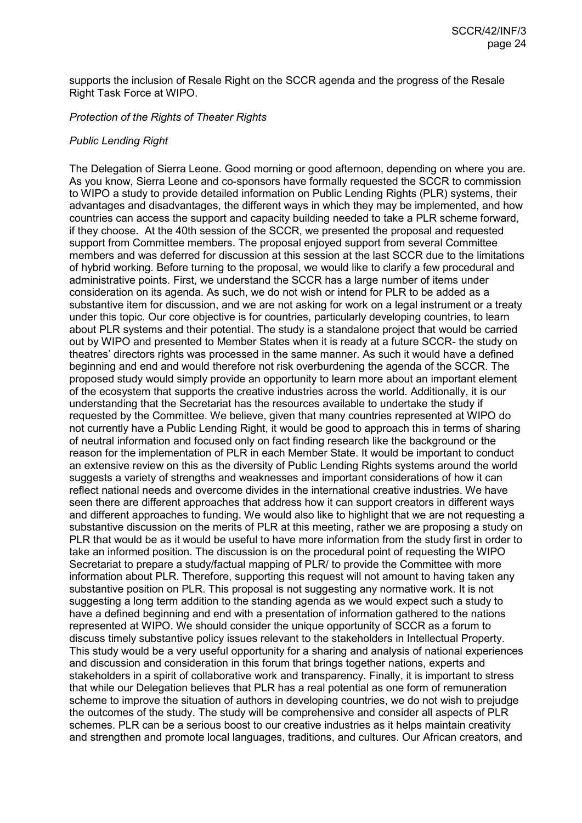supports the inclusion of Resale Right on the SCCR agenda and the progress of the Resale Right Task Force at WIPO.

## *Protection of the Rights of Theater Rights*

### *Public Lending Right*

The Delegation of Sierra Leone. Good morning or good afternoon, depending on where you are. As you know, Sierra Leone and co-sponsors have formally requested the SCCR to commission to WIPO a study to provide detailed information on Public Lending Rights (PLR) systems, their advantages and disadvantages, the different ways in which they may be implemented, and how countries can access the support and capacity building needed to take a PLR scheme forward, if they choose. At the 40th session of the SCCR, we presented the proposal and requested support from Committee members. The proposal enjoyed support from several Committee members and was deferred for discussion at this session at the last SCCR due to the limitations of hybrid working. Before turning to the proposal, we would like to clarify a few procedural and administrative points. First, we understand the SCCR has a large number of items under consideration on its agenda. As such, we do not wish or intend for PLR to be added as a substantive item for discussion, and we are not asking for work on a legal instrument or a treaty under this topic. Our core objective is for countries, particularly developing countries, to learn about PLR systems and their potential. The study is a standalone project that would be carried out by WIPO and presented to Member States when it is ready at a future SCCR- the study on theatres' directors rights was processed in the same manner. As such it would have a defined beginning and end and would therefore not risk overburdening the agenda of the SCCR. The proposed study would simply provide an opportunity to learn more about an important element of the ecosystem that supports the creative industries across the world. Additionally, it is our understanding that the Secretariat has the resources available to undertake the study if requested by the Committee. We believe, given that many countries represented at WIPO do not currently have a Public Lending Right, it would be good to approach this in terms of sharing of neutral information and focused only on fact finding research like the background or the reason for the implementation of PLR in each Member State. It would be important to conduct an extensive review on this as the diversity of Public Lending Rights systems around the world suggests a variety of strengths and weaknesses and important considerations of how it can reflect national needs and overcome divides in the international creative industries. We have seen there are different approaches that address how it can support creators in different ways and different approaches to funding. We would also like to highlight that we are not requesting a substantive discussion on the merits of PLR at this meeting, rather we are proposing a study on PLR that would be as it would be useful to have more information from the study first in order to take an informed position. The discussion is on the procedural point of requesting the WIPO Secretariat to prepare a study/factual mapping of PLR/ to provide the Committee with more information about PLR. Therefore, supporting this request will not amount to having taken any substantive position on PLR. This proposal is not suggesting any normative work. It is not suggesting a long term addition to the standing agenda as we would expect such a study to have a defined beginning and end with a presentation of information gathered to the nations represented at WIPO. We should consider the unique opportunity of SCCR as a forum to discuss timely substantive policy issues relevant to the stakeholders in Intellectual Property. This study would be a very useful opportunity for a sharing and analysis of national experiences and discussion and consideration in this forum that brings together nations, experts and stakeholders in a spirit of collaborative work and transparency. Finally, it is important to stress that while our Delegation believes that PLR has a real potential as one form of remuneration scheme to improve the situation of authors in developing countries, we do not wish to prejudge the outcomes of the study. The study will be comprehensive and consider all aspects of PLR schemes. PLR can be a serious boost to our creative industries as it helps maintain creativity and strengthen and promote local languages, traditions, and cultures. Our African creators, and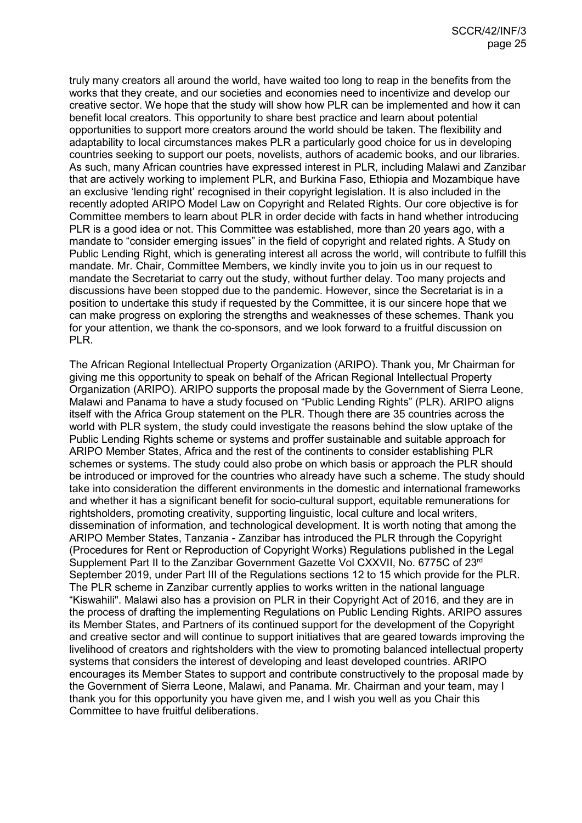truly many creators all around the world, have waited too long to reap in the benefits from the works that they create, and our societies and economies need to incentivize and develop our creative sector. We hope that the study will show how PLR can be implemented and how it can benefit local creators. This opportunity to share best practice and learn about potential opportunities to support more creators around the world should be taken. The flexibility and adaptability to local circumstances makes PLR a particularly good choice for us in developing countries seeking to support our poets, novelists, authors of academic books, and our libraries. As such, many African countries have expressed interest in PLR, including Malawi and Zanzibar that are actively working to implement PLR, and Burkina Faso, Ethiopia and Mozambique have an exclusive 'lending right' recognised in their copyright legislation. It is also included in the recently adopted ARIPO Model Law on Copyright and Related Rights. Our core objective is for Committee members to learn about PLR in order decide with facts in hand whether introducing PLR is a good idea or not. This Committee was established, more than 20 years ago, with a mandate to "consider emerging issues" in the field of copyright and related rights. A Study on Public Lending Right, which is generating interest all across the world, will contribute to fulfill this mandate. Mr. Chair, Committee Members, we kindly invite you to join us in our request to mandate the Secretariat to carry out the study, without further delay. Too many projects and discussions have been stopped due to the pandemic. However, since the Secretariat is in a position to undertake this study if requested by the Committee, it is our sincere hope that we can make progress on exploring the strengths and weaknesses of these schemes. Thank you for your attention, we thank the co-sponsors, and we look forward to a fruitful discussion on PLR.

The African Regional Intellectual Property Organization (ARIPO). Thank you, Mr Chairman for giving me this opportunity to speak on behalf of the African Regional Intellectual Property Organization (ARIPO). ARIPO supports the proposal made by the Government of Sierra Leone, Malawi and Panama to have a study focused on "Public Lending Rights" (PLR). ARIPO aligns itself with the Africa Group statement on the PLR. Though there are 35 countries across the world with PLR system, the study could investigate the reasons behind the slow uptake of the Public Lending Rights scheme or systems and proffer sustainable and suitable approach for ARIPO Member States, Africa and the rest of the continents to consider establishing PLR schemes or systems. The study could also probe on which basis or approach the PLR should be introduced or improved for the countries who already have such a scheme. The study should take into consideration the different environments in the domestic and international frameworks and whether it has a significant benefit for socio-cultural support, equitable remunerations for rightsholders, promoting creativity, supporting linguistic, local culture and local writers, dissemination of information, and technological development. It is worth noting that among the ARIPO Member States, Tanzania - Zanzibar has introduced the PLR through the Copyright (Procedures for Rent or Reproduction of Copyright Works) Regulations published in the Legal Supplement Part II to the Zanzibar Government Gazette Vol CXXVII, No. 6775C of 23rd September 2019, under Part III of the Regulations sections 12 to 15 which provide for the PLR. The PLR scheme in Zanzibar currently applies to works written in the national language "Kiswahili". Malawi also has a provision on PLR in their Copyright Act of 2016, and they are in the process of drafting the implementing Regulations on Public Lending Rights. ARIPO assures its Member States, and Partners of its continued support for the development of the Copyright and creative sector and will continue to support initiatives that are geared towards improving the livelihood of creators and rightsholders with the view to promoting balanced intellectual property systems that considers the interest of developing and least developed countries. ARIPO encourages its Member States to support and contribute constructively to the proposal made by the Government of Sierra Leone, Malawi, and Panama. Mr. Chairman and your team, may I thank you for this opportunity you have given me, and I wish you well as you Chair this Committee to have fruitful deliberations.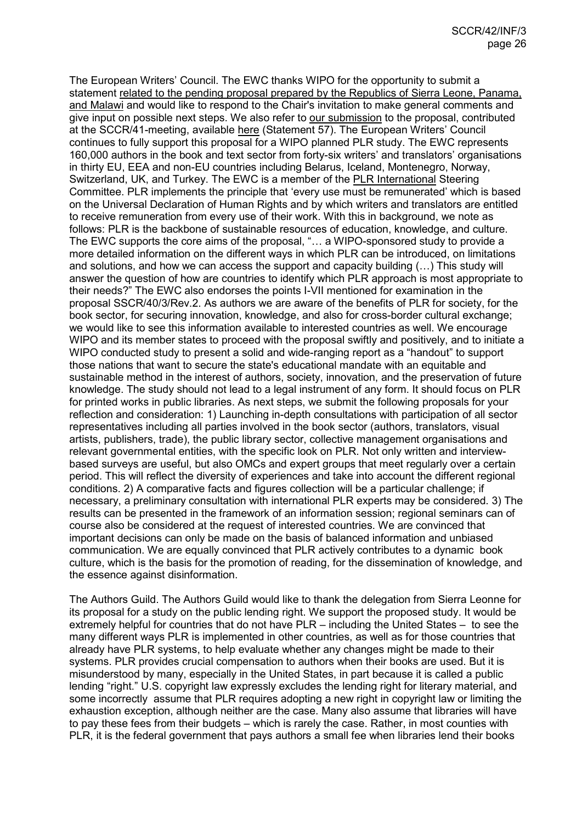The European Writers' Council. The EWC thanks WIPO for the opportunity to submit a statement [related to the pending proposal prepared by the Republics of Sierra Leone, Panama,](https://www.wipo.int/edocs/mdocs/copyright/en/sccr_40/sccr_40_3_rev_2.pdf)  [and Malawi](https://www.wipo.int/edocs/mdocs/copyright/en/sccr_40/sccr_40_3_rev_2.pdf) and would like to respond to the Chair's invitation to make general comments and give input on possible next steps. We also refer to [our submission](https://europeanwriterscouncil.eu/ewc-sccr41-plrstudy/) to the proposal, contributed at the SCCR/41-meeting, available [here](https://www.wipo.int/edocs/mdocs/copyright/en/sccr_41/sccr_41_inf_3.pdf) (Statement 57). The European Writers' Council continues to fully support this proposal for a WIPO planned PLR study. The EWC represents 160,000 authors in the book and text sector from forty-six writers' and translators' organisations in thirty EU, EEA and non-EU countries including Belarus, Iceland, Montenegro, Norway, Switzerland, UK, and Turkey. The EWC is a member of the [PLR International](https://plrinternational.com/) Steering Committee. PLR implements the principle that 'every use must be remunerated' which is based on the Universal Declaration of Human Rights and by which writers and translators are entitled to receive remuneration from every use of their work. With this in background, we note as follows: PLR is the backbone of sustainable resources of education, knowledge, and culture. The EWC supports the core aims of the proposal, "… a WIPO-sponsored study to provide a more detailed information on the different ways in which PLR can be introduced, on limitations and solutions, and how we can access the support and capacity building (…) This study will answer the question of how are countries to identify which PLR approach is most appropriate to their needs?" The EWC also endorses the points I-VII mentioned for examination in the proposal SSCR/40/3/Rev.2. As authors we are aware of the benefits of PLR for society, for the book sector, for securing innovation, knowledge, and also for cross-border cultural exchange; we would like to see this information available to interested countries as well. We encourage WIPO and its member states to proceed with the proposal swiftly and positively, and to initiate a WIPO conducted study to present a solid and wide-ranging report as a "handout" to support those nations that want to secure the state's educational mandate with an equitable and sustainable method in the interest of authors, society, innovation, and the preservation of future knowledge. The study should not lead to a legal instrument of any form. It should focus on PLR for printed works in public libraries. As next steps, we submit the following proposals for your reflection and consideration: 1) Launching in-depth consultations with participation of all sector representatives including all parties involved in the book sector (authors, translators, visual artists, publishers, trade), the public library sector, collective management organisations and relevant governmental entities, with the specific look on PLR. Not only written and interviewbased surveys are useful, but also OMCs and expert groups that meet regularly over a certain period. This will reflect the diversity of experiences and take into account the different regional conditions. 2) A comparative facts and figures collection will be a particular challenge; if necessary, a preliminary consultation with international PLR experts may be considered. 3) The results can be presented in the framework of an information session; regional seminars can of course also be considered at the request of interested countries. We are convinced that important decisions can only be made on the basis of balanced information and unbiased communication. We are equally convinced that PLR actively contributes to a dynamic book culture, which is the basis for the promotion of reading, for the dissemination of knowledge, and the essence against disinformation.

The Authors Guild. The Authors Guild would like to thank the delegation from Sierra Leonne for its proposal for a study on the public lending right. We support the proposed study. It would be extremely helpful for countries that do not have PLR – including the United States – to see the many different ways PLR is implemented in other countries, as well as for those countries that already have PLR systems, to help evaluate whether any changes might be made to their systems. PLR provides crucial compensation to authors when their books are used. But it is misunderstood by many, especially in the United States, in part because it is called a public lending "right." U.S. copyright law expressly excludes the lending right for literary material, and some incorrectly assume that PLR requires adopting a new right in copyright law or limiting the exhaustion exception, although neither are the case. Many also assume that libraries will have to pay these fees from their budgets – which is rarely the case. Rather, in most counties with PLR, it is the federal government that pays authors a small fee when libraries lend their books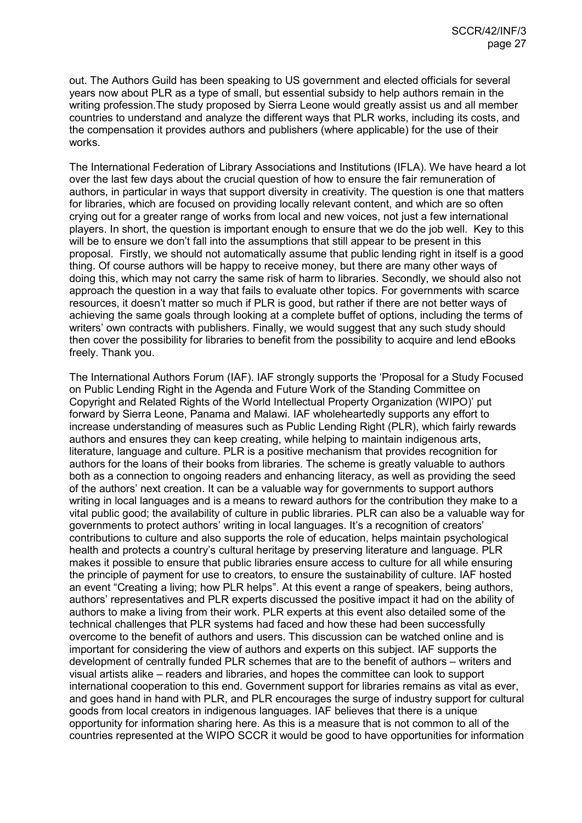out. The Authors Guild has been speaking to US government and elected officials for several years now about PLR as a type of small, but essential subsidy to help authors remain in the writing profession.The study proposed by Sierra Leone would greatly assist us and all member countries to understand and analyze the different ways that PLR works, including its costs, and the compensation it provides authors and publishers (where applicable) for the use of their works.

The International Federation of Library Associations and Institutions (IFLA). We have heard a lot over the last few days about the crucial question of how to ensure the fair remuneration of authors, in particular in ways that support diversity in creativity. The question is one that matters for libraries, which are focused on providing locally relevant content, and which are so often crying out for a greater range of works from local and new voices, not just a few international players. In short, the question is important enough to ensure that we do the job well. Key to this will be to ensure we don't fall into the assumptions that still appear to be present in this proposal. Firstly, we should not automatically assume that public lending right in itself is a good thing. Of course authors will be happy to receive money, but there are many other ways of doing this, which may not carry the same risk of harm to libraries. Secondly, we should also not approach the question in a way that fails to evaluate other topics. For governments with scarce resources, it doesn't matter so much if PLR is good, but rather if there are not better ways of achieving the same goals through looking at a complete buffet of options, including the terms of writers' own contracts with publishers. Finally, we would suggest that any such study should then cover the possibility for libraries to benefit from the possibility to acquire and lend eBooks freely. Thank you.

The International Authors Forum (IAF). IAF strongly supports the 'Proposal for a Study Focused on Public Lending Right in the Agenda and Future Work of the Standing Committee on Copyright and Related Rights of the World Intellectual Property Organization (WIPO)' put forward by Sierra Leone, Panama and Malawi. IAF wholeheartedly supports any effort to increase understanding of measures such as Public Lending Right (PLR), which fairly rewards authors and ensures they can keep creating, while helping to maintain indigenous arts, literature, language and culture. PLR is a positive mechanism that provides recognition for authors for the loans of their books from libraries. The scheme is greatly valuable to authors both as a connection to ongoing readers and enhancing literacy, as well as providing the seed of the authors' next creation. It can be a valuable way for governments to support authors writing in local languages and is a means to reward authors for the contribution they make to a vital public good; the availability of culture in public libraries. PLR can also be a valuable way for governments to protect authors' writing in local languages. It's a recognition of creators' contributions to culture and also supports the role of education, helps maintain psychological health and protects a country's cultural heritage by preserving literature and language. PLR makes it possible to ensure that public libraries ensure access to culture for all while ensuring the principle of payment for use to creators, to ensure the sustainability of culture. IAF hosted an event "Creating a living; how PLR helps". At this event a range of speakers, being authors, authors' representatives and PLR experts discussed the positive impact it had on the ability of authors to make a living from their work. PLR experts at this event also detailed some of the technical challenges that PLR systems had faced and how these had been successfully overcome to the benefit of authors and users. This discussion can be watched online and is important for considering the view of authors and experts on this subject. IAF supports the development of centrally funded PLR schemes that are to the benefit of authors – writers and visual artists alike – readers and libraries, and hopes the committee can look to support international cooperation to this end. Government support for libraries remains as vital as ever, and goes hand in hand with PLR, and PLR encourages the surge of industry support for cultural goods from local creators in indigenous languages. IAF believes that there is a unique opportunity for information sharing here. As this is a measure that is not common to all of the countries represented at the WIPO SCCR it would be good to have opportunities for information